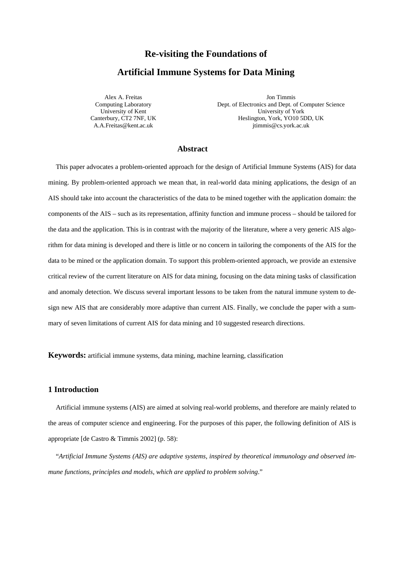# **Re-visiting the Foundations of Artificial Immune Systems for Data Mining**

Alex A. Freitas Jon Timmis Computing Laboratory Dept. of Electronics and Dept. of Computer Science<br>University of Kent<br>
University of York University of Kent University of Kent University of York University of York Canterbury, CT2 7NF, UK Heslington, York, YO10 51 Heslington, York, YO10 5DD, UK A.A.Freitas@kent.ac.uk jtimmis@cs.york.ac.uk

# **Abstract**

This paper advocates a problem-oriented approach for the design of Artificial Immune Systems (AIS) for data mining. By problem-oriented approach we mean that, in real-world data mining applications, the design of an AIS should take into account the characteristics of the data to be mined together with the application domain: the components of the AIS – such as its representation, affinity function and immune process – should be tailored for the data and the application. This is in contrast with the majority of the literature, where a very generic AIS algorithm for data mining is developed and there is little or no concern in tailoring the components of the AIS for the data to be mined or the application domain. To support this problem-oriented approach, we provide an extensive critical review of the current literature on AIS for data mining, focusing on the data mining tasks of classification and anomaly detection. We discuss several important lessons to be taken from the natural immune system to design new AIS that are considerably more adaptive than current AIS. Finally, we conclude the paper with a summary of seven limitations of current AIS for data mining and 10 suggested research directions.

**Keywords:** artificial immune systems, data mining, machine learning, classification

# **1 Introduction**

Artificial immune systems (AIS) are aimed at solving real-world problems, and therefore are mainly related to the areas of computer science and engineering. For the purposes of this paper, the following definition of AIS is appropriate [de Castro & Timmis 2002] (p. 58):

"*Artificial Immune Systems (AIS) are adaptive systems, inspired by theoretical immunology and observed immune functions, principles and models, which are applied to problem solving*."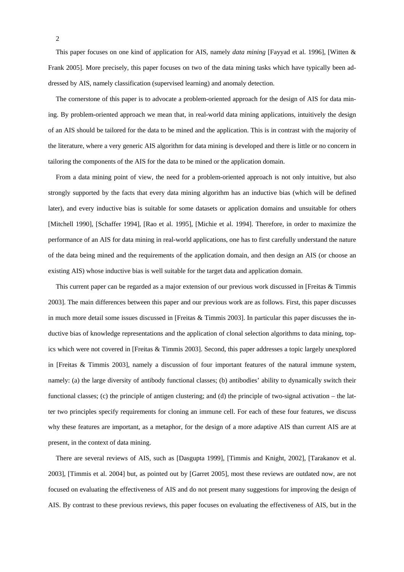This paper focuses on one kind of application for AIS, namely *data mining* [Fayyad et al. 1996], [Witten & Frank 2005]. More precisely, this paper focuses on two of the data mining tasks which have typically been addressed by AIS, namely classification (supervised learning) and anomaly detection.

The cornerstone of this paper is to advocate a problem-oriented approach for the design of AIS for data mining. By problem-oriented approach we mean that, in real-world data mining applications, intuitively the design of an AIS should be tailored for the data to be mined and the application. This is in contrast with the majority of the literature, where a very generic AIS algorithm for data mining is developed and there is little or no concern in tailoring the components of the AIS for the data to be mined or the application domain.

From a data mining point of view, the need for a problem-oriented approach is not only intuitive, but also strongly supported by the facts that every data mining algorithm has an inductive bias (which will be defined later), and every inductive bias is suitable for some datasets or application domains and unsuitable for others [Mitchell 1990], [Schaffer 1994], [Rao et al. 1995], [Michie et al. 1994]. Therefore, in order to maximize the performance of an AIS for data mining in real-world applications, one has to first carefully understand the nature of the data being mined and the requirements of the application domain, and then design an AIS (or choose an existing AIS) whose inductive bias is well suitable for the target data and application domain.

This current paper can be regarded as a major extension of our previous work discussed in [Freitas & Timmis 2003]. The main differences between this paper and our previous work are as follows. First, this paper discusses in much more detail some issues discussed in [Freitas  $&$  Timmis 2003]. In particular this paper discusses the inductive bias of knowledge representations and the application of clonal selection algorithms to data mining, topics which were not covered in [Freitas & Timmis 2003]. Second, this paper addresses a topic largely unexplored in [Freitas & Timmis 2003], namely a discussion of four important features of the natural immune system, namely: (a) the large diversity of antibody functional classes; (b) antibodies' ability to dynamically switch their functional classes; (c) the principle of antigen clustering; and (d) the principle of two-signal activation – the latter two principles specify requirements for cloning an immune cell. For each of these four features, we discuss why these features are important, as a metaphor, for the design of a more adaptive AIS than current AIS are at present, in the context of data mining.

There are several reviews of AIS, such as [Dasgupta 1999], [Timmis and Knight, 2002], [Tarakanov et al. 2003], [Timmis et al. 2004] but, as pointed out by [Garret 2005], most these reviews are outdated now, are not focused on evaluating the effectiveness of AIS and do not present many suggestions for improving the design of AIS. By contrast to these previous reviews, this paper focuses on evaluating the effectiveness of AIS, but in the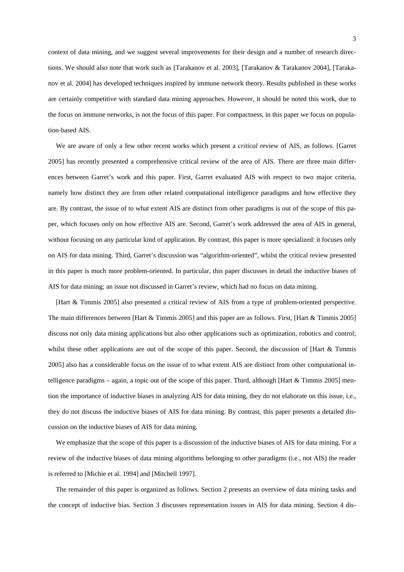context of data mining, and we suggest several improvements for their design and a number of research directions. We should also note that work such as [Tarakanov et al. 2003], [Tarakanov & Tarakanov 2004], [Tarakanov et al. 2004] has developed techniques inspired by immune network theory. Results published in these works are certainly competitive with standard data mining approaches. However, it should be noted this work, due to the focus on immune networks, is not the focus of this paper. For compactness, in this paper we focus on population-based AIS.

We are aware of only a few other recent works which present a *critical* review of AIS, as follows. [Garret 2005] has recently presented a comprehensive critical review of the area of AIS. There are three main differences between Garret's work and this paper. First, Garret evaluated AIS with respect to two major criteria, namely how distinct they are from other related computational intelligence paradigms and how effective they are. By contrast, the issue of to what extent AIS are distinct from other paradigms is out of the scope of this paper, which focuses only on how effective AIS are. Second, Garret's work addressed the area of AIS in general, without focusing on any particular kind of application. By contrast, this paper is more specialized: it focuses only on AIS for data mining. Third, Garret's discussion was "algorithm-oriented", whilst the critical review presented in this paper is much more problem-oriented. In particular, this paper discusses in detail the inductive biases of AIS for data mining; an issue not discussed in Garret's review, which had no focus on data mining.

[Hart & Timmis 2005] also presented a critical review of AIS from a type of problem-oriented perspective. The main differences between [Hart & Timmis 2005] and this paper are as follows. First, [Hart & Timmis 2005] discuss not only data mining applications but also other applications such as optimization, robotics and control; whilst these other applications are out of the scope of this paper. Second, the discussion of [Hart & Timmis 2005] also has a considerable focus on the issue of to what extent AIS are distinct from other computational intelligence paradigms – again, a topic out of the scope of this paper. Third, although [Hart & Timmis 2005] mention the importance of inductive biases in analyzing AIS for data mining, they do not elaborate on this issue, i.e., they do not discuss the inductive biases of AIS for data mining. By contrast, this paper presents a detailed discussion on the inductive biases of AIS for data mining.

We emphasize that the scope of this paper is a discussion of the inductive biases of AIS for data mining. For a review of the inductive biases of data mining algorithms belonging to other paradigms (i.e., not AIS) the reader is referred to [Michie et al. 1994] and [Mitchell 1997].

The remainder of this paper is organized as follows. Section 2 presents an overview of data mining tasks and the concept of inductive bias. Section 3 discusses representation issues in AIS for data mining. Section 4 dis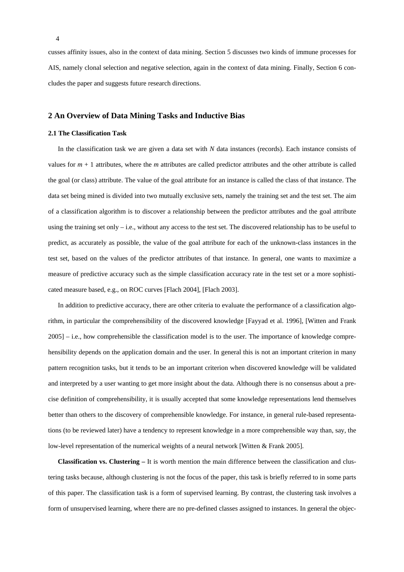cusses affinity issues, also in the context of data mining. Section 5 discusses two kinds of immune processes for AIS, namely clonal selection and negative selection, again in the context of data mining. Finally, Section 6 concludes the paper and suggests future research directions.

# **2 An Overview of Data Mining Tasks and Inductive Bias**

## **2.1 The Classification Task**

In the classification task we are given a data set with *N* data instances (records). Each instance consists of values for *m* + 1 attributes, where the *m* attributes are called predictor attributes and the other attribute is called the goal (or class) attribute. The value of the goal attribute for an instance is called the class of that instance. The data set being mined is divided into two mutually exclusive sets, namely the training set and the test set. The aim of a classification algorithm is to discover a relationship between the predictor attributes and the goal attribute using the training set only – i.e., without any access to the test set. The discovered relationship has to be useful to predict, as accurately as possible, the value of the goal attribute for each of the unknown-class instances in the test set, based on the values of the predictor attributes of that instance. In general, one wants to maximize a measure of predictive accuracy such as the simple classification accuracy rate in the test set or a more sophisticated measure based, e.g., on ROC curves [Flach 2004], [Flach 2003].

In addition to predictive accuracy, there are other criteria to evaluate the performance of a classification algorithm, in particular the comprehensibility of the discovered knowledge [Fayyad et al. 1996], [Witten and Frank 2005] – i.e., how comprehensible the classification model is to the user. The importance of knowledge comprehensibility depends on the application domain and the user. In general this is not an important criterion in many pattern recognition tasks, but it tends to be an important criterion when discovered knowledge will be validated and interpreted by a user wanting to get more insight about the data. Although there is no consensus about a precise definition of comprehensibility, it is usually accepted that some knowledge representations lend themselves better than others to the discovery of comprehensible knowledge. For instance, in general rule-based representations (to be reviewed later) have a tendency to represent knowledge in a more comprehensible way than, say, the low-level representation of the numerical weights of a neural network [Witten & Frank 2005].

**Classification vs. Clustering –** It is worth mention the main difference between the classification and clustering tasks because, although clustering is not the focus of the paper, this task is briefly referred to in some parts of this paper. The classification task is a form of supervised learning. By contrast, the clustering task involves a form of unsupervised learning, where there are no pre-defined classes assigned to instances. In general the objec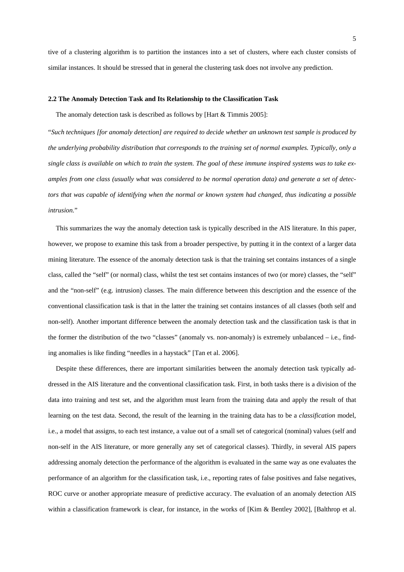tive of a clustering algorithm is to partition the instances into a set of clusters, where each cluster consists of similar instances. It should be stressed that in general the clustering task does not involve any prediction.

#### **2.2 The Anomaly Detection Task and Its Relationship to the Classification Task**

The anomaly detection task is described as follows by [Hart & Timmis 2005]:

"*Such techniques [for anomaly detection] are required to decide whether an unknown test sample is produced by the underlying probability distribution that corresponds to the training set of normal examples. Typically, only a single class is available on which to train the system. The goal of these immune inspired systems was to take examples from one class (usually what was considered to be normal operation data) and generate a set of detectors that was capable of identifying when the normal or known system had changed, thus indicating a possible intrusion.*"

This summarizes the way the anomaly detection task is typically described in the AIS literature. In this paper, however, we propose to examine this task from a broader perspective, by putting it in the context of a larger data mining literature. The essence of the anomaly detection task is that the training set contains instances of a single class, called the "self" (or normal) class, whilst the test set contains instances of two (or more) classes, the "self" and the "non-self" (e.g. intrusion) classes. The main difference between this description and the essence of the conventional classification task is that in the latter the training set contains instances of all classes (both self and non-self). Another important difference between the anomaly detection task and the classification task is that in the former the distribution of the two "classes" (anomaly vs. non-anomaly) is extremely unbalanced – i.e., finding anomalies is like finding "needles in a haystack" [Tan et al. 2006].

Despite these differences, there are important similarities between the anomaly detection task typically addressed in the AIS literature and the conventional classification task. First, in both tasks there is a division of the data into training and test set, and the algorithm must learn from the training data and apply the result of that learning on the test data. Second, the result of the learning in the training data has to be a *classification* model, i.e., a model that assigns, to each test instance, a value out of a small set of categorical (nominal) values (self and non-self in the AIS literature, or more generally any set of categorical classes). Thirdly, in several AIS papers addressing anomaly detection the performance of the algorithm is evaluated in the same way as one evaluates the performance of an algorithm for the classification task, i.e., reporting rates of false positives and false negatives, ROC curve or another appropriate measure of predictive accuracy. The evaluation of an anomaly detection AIS within a classification framework is clear, for instance, in the works of [Kim & Bentley 2002], [Balthrop et al.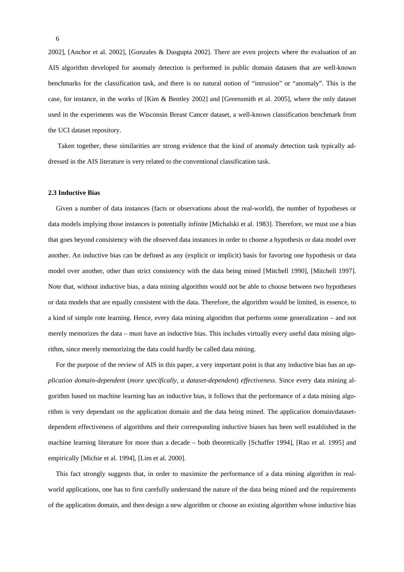2002], [Anchor et al. 2002], [Gonzales & Dasgupta 2002]. There are even projects where the evaluation of an AIS algorithm developed for anomaly detection is performed in public domain datasets that are well-known benchmarks for the classification task, and there is no natural notion of "intrusion" or "anomaly". This is the case, for instance, in the works of [Kim & Bentley 2002] and [Greensmith et al. 2005], where the only dataset used in the experiments was the Wisconsin Breast Cancer dataset, a well-known classification benchmark from the UCI dataset repository.

 Taken together, these similarities are strong evidence that the kind of anomaly detection task typically addressed in the AIS literature is very related to the conventional classification task.

## **2.3 Inductive Bias**

Given a number of data instances (facts or observations about the real-world), the number of hypotheses or data models implying those instances is potentially infinite [Michalski et al. 1983]. Therefore, we must use a bias that goes beyond consistency with the observed data instances in order to choose a hypothesis or data model over another. An inductive bias can be defined as any (explicit or implicit) basis for favoring one hypothesis or data model over another, other than strict consistency with the data being mined [Mitchell 1990], [Mitchell 1997]. Note that, without inductive bias, a data mining algorithm would not be able to choose between two hypotheses or data models that are equally consistent with the data. Therefore, the algorithm would be limited, in essence, to a kind of simple rote learning. Hence, every data mining algorithm that performs some generalization – and not merely memorizes the data – must have an inductive bias. This includes virtually every useful data mining algorithm, since merely memorizing the data could hardly be called data mining.

For the purpose of the review of AIS in this paper, a very important point is that any inductive bias has an *application domain-dependent* (*more specifically*, *a dataset-dependent*) *effectiveness*. Since every data mining algorithm based on machine learning has an inductive bias, it follows that the performance of a data mining algorithm is very dependant on the application domain and the data being mined. The application domain/datasetdependent effectiveness of algorithms and their corresponding inductive biases has been well established in the machine learning literature for more than a decade – both theoretically [Schaffer 1994], [Rao et al. 1995] and empirically [Michie et al. 1994], [Lim et al. 2000].

This fact strongly suggests that, in order to maximize the performance of a data mining algorithm in realworld applications, one has to first carefully understand the nature of the data being mined and the requirements of the application domain, and then design a new algorithm or choose an existing algorithm whose inductive bias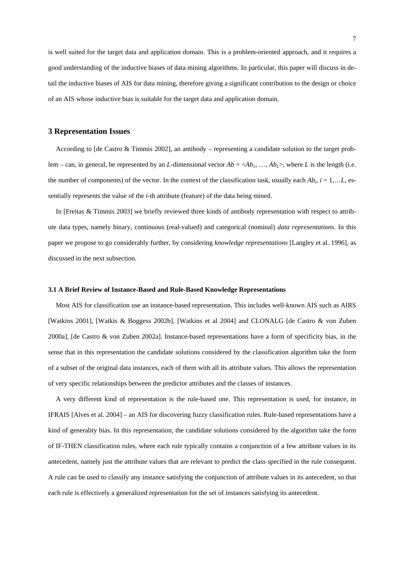is well suited for the target data and application domain. This is a problem-oriented approach, and it requires a good understanding of the inductive biases of data mining algorithms. In particular, this paper will discuss in detail the inductive biases of AIS for data mining, therefore giving a significant contribution to the design or choice of an AIS whose inductive bias is suitable for the target data and application domain.

# **3 Representation Issues**

According to [de Castro & Timmis 2002], an antibody – representing a candidate solution to the target problem – can, in general, be represented by an *L*-dimensional vector  $Ab = \langle Ab_1, ..., Ab_k \rangle$ , where *L* is the length (i.e. the number of components) of the vector. In the context of the classification task, usually each  $Ab_i$ ,  $i = 1,...L$ , essentially represents the value of the *i*-th attribute (feature) of the data being mined.

In [Freitas & Timmis 2003] we briefly reviewed three kinds of antibody representation with respect to attribute data types, namely binary, continuous (real-valued) and categorical (nominal) *data representations*. In this paper we propose to go considerably further, by considering *knowledge representations* [Langley et al. 1996], as discussed in the next subsection.

## **3.1 A Brief Review of Instance-Based and Rule-Based Knowledge Representations**

Most AIS for classification use an instance-based representation. This includes well-known AIS such as AIRS [Watkins 2001], [Watkis & Boggess 2002b], [Watkins et al 2004] and CLONALG [de Castro & von Zuben 2000a], [de Castro & von Zuben 2002a]. Instance-based representations have a form of specificity bias, in the sense that in this representation the candidate solutions considered by the classification algorithm take the form of a subset of the original data instances, each of them with all its attribute values. This allows the representation of very specific relationships between the predictor attributes and the classes of instances.

A very different kind of representation is the rule-based one. This representation is used, for instance, in IFRAIS [Alves et al. 2004] – an AIS for discovering fuzzy classification rules. Rule-based representations have a kind of generality bias. In this representation, the candidate solutions considered by the algorithm take the form of IF-THEN classification rules, where each rule typically contains a conjunction of a few attribute values in its antecedent, namely just the attribute values that are relevant to predict the class specified in the rule consequent. A rule can be used to classify any instance satisfying the conjunction of attribute values in its antecedent, so that each rule is effectively a generalized representation for the set of instances satisfying its antecedent.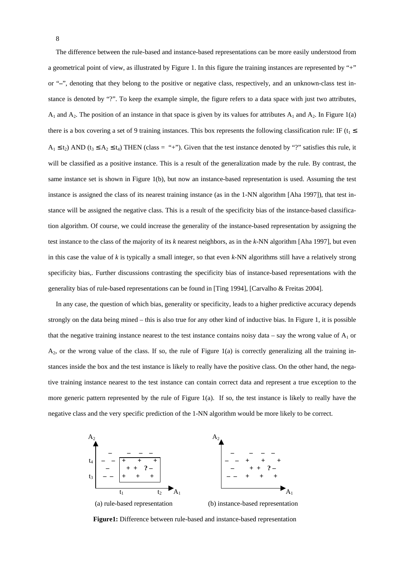The difference between the rule-based and instance-based representations can be more easily understood from a geometrical point of view, as illustrated by Figure 1. In this figure the training instances are represented by "+" or "**–**", denoting that they belong to the positive or negative class, respectively, and an unknown-class test instance is denoted by "?". To keep the example simple, the figure refers to a data space with just two attributes,  $A_1$  and  $A_2$ . The position of an instance in that space is given by its values for attributes  $A_1$  and  $A_2$ . In Figure 1(a) there is a box covering a set of 9 training instances. This box represents the following classification rule: IF ( $t_1 \le$  $A_1 \le t_2$ ) AND ( $t_3 \le A_2 \le t_4$ ) THEN (class = "+"). Given that the test instance denoted by "?" satisfies this rule, it will be classified as a positive instance. This is a result of the generalization made by the rule. By contrast, the same instance set is shown in Figure 1(b), but now an instance-based representation is used. Assuming the test instance is assigned the class of its nearest training instance (as in the 1-NN algorithm [Aha 1997]), that test instance will be assigned the negative class. This is a result of the specificity bias of the instance-based classification algorithm. Of course, we could increase the generality of the instance-based representation by assigning the test instance to the class of the majority of its *k* nearest neighbors, as in the *k*-NN algorithm [Aha 1997], but even in this case the value of *k* is typically a small integer, so that even *k-*NN algorithms still have a relatively strong specificity bias,. Further discussions contrasting the specificity bias of instance-based representations with the generality bias of rule-based representations can be found in [Ting 1994], [Carvalho & Freitas 2004].

In any case, the question of which bias, generality or specificity, leads to a higher predictive accuracy depends strongly on the data being mined – this is also true for any other kind of inductive bias. In Figure 1, it is possible that the negative training instance nearest to the test instance contains noisy data – say the wrong value of  $A_1$  or  $A_2$ , or the wrong value of the class. If so, the rule of Figure 1(a) is correctly generalizing all the training instances inside the box and the test instance is likely to really have the positive class. On the other hand, the negative training instance nearest to the test instance can contain correct data and represent a true exception to the more generic pattern represented by the rule of Figure 1(a). If so, the test instance is likely to really have the negative class and the very specific prediction of the 1-NN algorithm would be more likely to be correct.



**Figure1:** Difference between rule-based and instance-based representation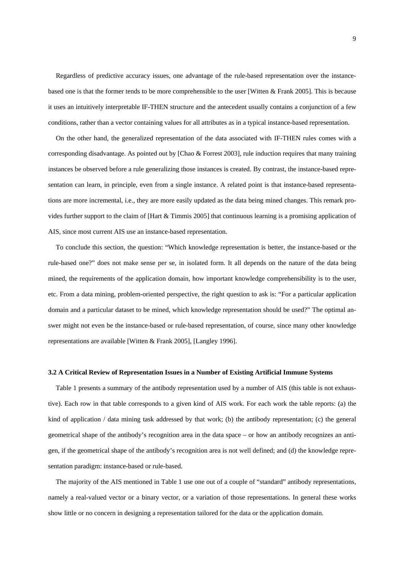Regardless of predictive accuracy issues, one advantage of the rule-based representation over the instancebased one is that the former tends to be more comprehensible to the user [Witten & Frank 2005]. This is because it uses an intuitively interpretable IF-THEN structure and the antecedent usually contains a conjunction of a few conditions, rather than a vector containing values for all attributes as in a typical instance-based representation.

On the other hand, the generalized representation of the data associated with IF-THEN rules comes with a corresponding disadvantage. As pointed out by [Chao & Forrest 2003], rule induction requires that many training instances be observed before a rule generalizing those instances is created. By contrast, the instance-based representation can learn, in principle, even from a single instance. A related point is that instance-based representations are more incremental, i.e., they are more easily updated as the data being mined changes. This remark provides further support to the claim of [Hart & Timmis 2005] that continuous learning is a promising application of AIS, since most current AIS use an instance-based representation.

To conclude this section, the question: "Which knowledge representation is better, the instance-based or the rule-based one?" does not make sense per se, in isolated form. It all depends on the nature of the data being mined, the requirements of the application domain, how important knowledge comprehensibility is to the user, etc. From a data mining, problem-oriented perspective, the right question to ask is: "For a particular application domain and a particular dataset to be mined, which knowledge representation should be used?" The optimal answer might not even be the instance-based or rule-based representation, of course, since many other knowledge representations are available [Witten & Frank 2005], [Langley 1996].

#### **3.2 A Critical Review of Representation Issues in a Number of Existing Artificial Immune Systems**

Table 1 presents a summary of the antibody representation used by a number of AIS (this table is not exhaustive). Each row in that table corresponds to a given kind of AIS work. For each work the table reports: (a) the kind of application / data mining task addressed by that work; (b) the antibody representation; (c) the general geometrical shape of the antibody's recognition area in the data space – or how an antibody recognizes an antigen, if the geometrical shape of the antibody's recognition area is not well defined; and (d) the knowledge representation paradigm: instance-based or rule-based.

The majority of the AIS mentioned in Table 1 use one out of a couple of "standard" antibody representations, namely a real-valued vector or a binary vector, or a variation of those representations. In general these works show little or no concern in designing a representation tailored for the data or the application domain.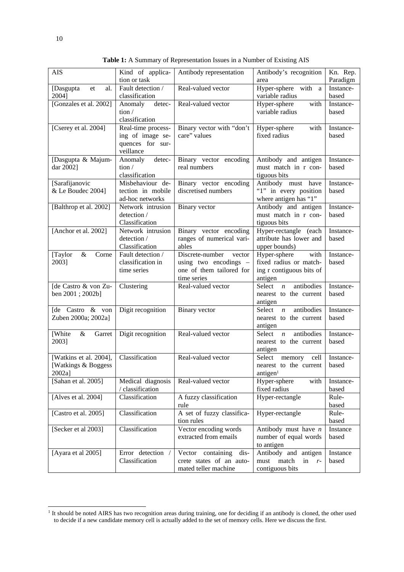| area<br>Fault detection /<br>Hyper-sphere with<br>Real-valued vector<br>Instance-<br>al.<br>[Dasgupta<br>et<br>a<br>2004]<br>variable radius<br>based<br>classification<br>[Gonzales et al. 2002]<br>Anomaly<br>detec-<br>Hyper-sphere<br>Instance-<br>Real-valued vector<br>with<br>tion /<br>variable radius<br>based<br>classification<br>[Cserey et al. 2004]<br>Binary vector with "don't<br>Real-time process-<br>Hyper-sphere<br>with<br>Instance-<br>fixed radius<br>ing of image se-<br>care" values<br>based<br>quences for sur-<br>veillance<br>[Dasgupta & Majum-<br>detec-<br>Anomaly<br>Binary vector encoding<br>Antibody and antigen<br>Instance-<br>tion /<br>real numbers<br>must match in r con-<br>dar 2002]<br>based<br>classification<br>tiguous bits<br>[Sarafijanovic<br>Misbehaviour de-<br>Binary vector encoding<br>Antibody must have<br>Instance-<br>& Le Boudec 2004]<br>discretised numbers<br>"1" in every position<br>tection in mobile<br>based<br>ad-hoc networks<br>where antigen has "1"<br>Antibody and antigen<br>Network intrusion<br>[Balthrop et al. 2002]<br>Binary vector<br>Instance-<br>detection /<br>must match in r con-<br>based<br>Classification<br>tiguous bits<br>[Anchor et al. 2002]<br>Network intrusion<br>Binary vector encoding<br>Hyper-rectangle (each<br>Instance-<br>attribute has lower and<br>detection /<br>ranges of numerical vari-<br>based<br>Classification<br>ables<br>upper bounds)<br>Hyper-sphere<br>&<br>Corne<br>Fault detection /<br>Discrete-number<br>with<br>Instance-<br>[Taylor<br>vector<br>fixed radius or match-<br>2003]<br>classification in<br>using two encodings -<br>based<br>one of them tailored for<br>time series<br>ing r contiguous bits of<br>time series<br>antigen<br>antibodies<br>[de Castro & von Zu-<br>Clustering<br>Real-valued vector<br>Select<br>Instance-<br>$\boldsymbol{n}$<br>ben 2001; 2002b]<br>nearest to the current<br>based<br>antigen<br>[de Castro & von<br>Digit recognition<br>antibodies<br><b>Binary</b> vector<br>Instance-<br>Select<br>$\boldsymbol{n}$<br>Zuben 2000a; 2002a]<br>nearest to the current<br>based<br>antigen<br>Digit recognition<br>Real-valued vector<br>antibodies<br>[White<br>$\&$<br>Garret<br>Select<br>Instance-<br>$\boldsymbol{n}$<br>based<br>2003]<br>nearest to the current<br>antigen<br>Classification<br>[Watkins et al. 2004],<br>Real-valued vector<br>Select<br>Instance-<br>memory<br>cell<br>[Watkings & Boggess]<br>nearest to the current<br>based<br>2002a]<br>antigen <sup>1</sup><br>[Sahan et al. 2005]<br>Medical diagnosis<br>Real-valued vector<br>Hyper-sphere<br>with<br>Instance-<br>fixed radius<br>classification<br>based<br>[Alves et al. 2004]<br>Classification<br>A fuzzy classification<br>Hyper-rectangle<br>Rule-<br>rule<br>based<br>A set of fuzzy classifica-<br>Classification<br>Hyper-rectangle<br>[Castro et al. 2005]<br>Rule-<br>tion rules<br>based<br>Classification<br>Vector encoding words<br>[Secker et al 2003]<br>Antibody must have $n$<br>Instance<br>extracted from emails<br>number of equal words<br>based<br>to antigen<br>Error detection<br>[Ayara et al 2005]<br>Antibody and antigen<br>Vector<br>containing<br>dis-<br>Instance<br>Classification<br>crete states of an auto-<br>must<br>match<br>in<br>based<br>$r-$ | <b>AIS</b> | Kind of applica- | Antibody representation | Antibody's recognition | Kn. Rep. |
|------------------------------------------------------------------------------------------------------------------------------------------------------------------------------------------------------------------------------------------------------------------------------------------------------------------------------------------------------------------------------------------------------------------------------------------------------------------------------------------------------------------------------------------------------------------------------------------------------------------------------------------------------------------------------------------------------------------------------------------------------------------------------------------------------------------------------------------------------------------------------------------------------------------------------------------------------------------------------------------------------------------------------------------------------------------------------------------------------------------------------------------------------------------------------------------------------------------------------------------------------------------------------------------------------------------------------------------------------------------------------------------------------------------------------------------------------------------------------------------------------------------------------------------------------------------------------------------------------------------------------------------------------------------------------------------------------------------------------------------------------------------------------------------------------------------------------------------------------------------------------------------------------------------------------------------------------------------------------------------------------------------------------------------------------------------------------------------------------------------------------------------------------------------------------------------------------------------------------------------------------------------------------------------------------------------------------------------------------------------------------------------------------------------------------------------------------------------------------------------------------------------------------------------------------------------------------------------------------------------------------------------------------------------------------------------------------------------------------------------------------------------------------------------------------------------------------------------------------------------------------------------------------------------------------------------------------------------------------------------------------------------------------------------------------------------------------------------------------------------------------------------------------------------------------------------------------------------------------------------------------------------------------------------------------------------------------------------------|------------|------------------|-------------------------|------------------------|----------|
|                                                                                                                                                                                                                                                                                                                                                                                                                                                                                                                                                                                                                                                                                                                                                                                                                                                                                                                                                                                                                                                                                                                                                                                                                                                                                                                                                                                                                                                                                                                                                                                                                                                                                                                                                                                                                                                                                                                                                                                                                                                                                                                                                                                                                                                                                                                                                                                                                                                                                                                                                                                                                                                                                                                                                                                                                                                                                                                                                                                                                                                                                                                                                                                                                                                                                                                                                |            | tion or task     |                         |                        | Paradigm |
|                                                                                                                                                                                                                                                                                                                                                                                                                                                                                                                                                                                                                                                                                                                                                                                                                                                                                                                                                                                                                                                                                                                                                                                                                                                                                                                                                                                                                                                                                                                                                                                                                                                                                                                                                                                                                                                                                                                                                                                                                                                                                                                                                                                                                                                                                                                                                                                                                                                                                                                                                                                                                                                                                                                                                                                                                                                                                                                                                                                                                                                                                                                                                                                                                                                                                                                                                |            |                  |                         |                        |          |
|                                                                                                                                                                                                                                                                                                                                                                                                                                                                                                                                                                                                                                                                                                                                                                                                                                                                                                                                                                                                                                                                                                                                                                                                                                                                                                                                                                                                                                                                                                                                                                                                                                                                                                                                                                                                                                                                                                                                                                                                                                                                                                                                                                                                                                                                                                                                                                                                                                                                                                                                                                                                                                                                                                                                                                                                                                                                                                                                                                                                                                                                                                                                                                                                                                                                                                                                                |            |                  |                         |                        |          |
|                                                                                                                                                                                                                                                                                                                                                                                                                                                                                                                                                                                                                                                                                                                                                                                                                                                                                                                                                                                                                                                                                                                                                                                                                                                                                                                                                                                                                                                                                                                                                                                                                                                                                                                                                                                                                                                                                                                                                                                                                                                                                                                                                                                                                                                                                                                                                                                                                                                                                                                                                                                                                                                                                                                                                                                                                                                                                                                                                                                                                                                                                                                                                                                                                                                                                                                                                |            |                  |                         |                        |          |
|                                                                                                                                                                                                                                                                                                                                                                                                                                                                                                                                                                                                                                                                                                                                                                                                                                                                                                                                                                                                                                                                                                                                                                                                                                                                                                                                                                                                                                                                                                                                                                                                                                                                                                                                                                                                                                                                                                                                                                                                                                                                                                                                                                                                                                                                                                                                                                                                                                                                                                                                                                                                                                                                                                                                                                                                                                                                                                                                                                                                                                                                                                                                                                                                                                                                                                                                                |            |                  |                         |                        |          |
|                                                                                                                                                                                                                                                                                                                                                                                                                                                                                                                                                                                                                                                                                                                                                                                                                                                                                                                                                                                                                                                                                                                                                                                                                                                                                                                                                                                                                                                                                                                                                                                                                                                                                                                                                                                                                                                                                                                                                                                                                                                                                                                                                                                                                                                                                                                                                                                                                                                                                                                                                                                                                                                                                                                                                                                                                                                                                                                                                                                                                                                                                                                                                                                                                                                                                                                                                |            |                  |                         |                        |          |
|                                                                                                                                                                                                                                                                                                                                                                                                                                                                                                                                                                                                                                                                                                                                                                                                                                                                                                                                                                                                                                                                                                                                                                                                                                                                                                                                                                                                                                                                                                                                                                                                                                                                                                                                                                                                                                                                                                                                                                                                                                                                                                                                                                                                                                                                                                                                                                                                                                                                                                                                                                                                                                                                                                                                                                                                                                                                                                                                                                                                                                                                                                                                                                                                                                                                                                                                                |            |                  |                         |                        |          |
|                                                                                                                                                                                                                                                                                                                                                                                                                                                                                                                                                                                                                                                                                                                                                                                                                                                                                                                                                                                                                                                                                                                                                                                                                                                                                                                                                                                                                                                                                                                                                                                                                                                                                                                                                                                                                                                                                                                                                                                                                                                                                                                                                                                                                                                                                                                                                                                                                                                                                                                                                                                                                                                                                                                                                                                                                                                                                                                                                                                                                                                                                                                                                                                                                                                                                                                                                |            |                  |                         |                        |          |
|                                                                                                                                                                                                                                                                                                                                                                                                                                                                                                                                                                                                                                                                                                                                                                                                                                                                                                                                                                                                                                                                                                                                                                                                                                                                                                                                                                                                                                                                                                                                                                                                                                                                                                                                                                                                                                                                                                                                                                                                                                                                                                                                                                                                                                                                                                                                                                                                                                                                                                                                                                                                                                                                                                                                                                                                                                                                                                                                                                                                                                                                                                                                                                                                                                                                                                                                                |            |                  |                         |                        |          |
|                                                                                                                                                                                                                                                                                                                                                                                                                                                                                                                                                                                                                                                                                                                                                                                                                                                                                                                                                                                                                                                                                                                                                                                                                                                                                                                                                                                                                                                                                                                                                                                                                                                                                                                                                                                                                                                                                                                                                                                                                                                                                                                                                                                                                                                                                                                                                                                                                                                                                                                                                                                                                                                                                                                                                                                                                                                                                                                                                                                                                                                                                                                                                                                                                                                                                                                                                |            |                  |                         |                        |          |
|                                                                                                                                                                                                                                                                                                                                                                                                                                                                                                                                                                                                                                                                                                                                                                                                                                                                                                                                                                                                                                                                                                                                                                                                                                                                                                                                                                                                                                                                                                                                                                                                                                                                                                                                                                                                                                                                                                                                                                                                                                                                                                                                                                                                                                                                                                                                                                                                                                                                                                                                                                                                                                                                                                                                                                                                                                                                                                                                                                                                                                                                                                                                                                                                                                                                                                                                                |            |                  |                         |                        |          |
|                                                                                                                                                                                                                                                                                                                                                                                                                                                                                                                                                                                                                                                                                                                                                                                                                                                                                                                                                                                                                                                                                                                                                                                                                                                                                                                                                                                                                                                                                                                                                                                                                                                                                                                                                                                                                                                                                                                                                                                                                                                                                                                                                                                                                                                                                                                                                                                                                                                                                                                                                                                                                                                                                                                                                                                                                                                                                                                                                                                                                                                                                                                                                                                                                                                                                                                                                |            |                  |                         |                        |          |
|                                                                                                                                                                                                                                                                                                                                                                                                                                                                                                                                                                                                                                                                                                                                                                                                                                                                                                                                                                                                                                                                                                                                                                                                                                                                                                                                                                                                                                                                                                                                                                                                                                                                                                                                                                                                                                                                                                                                                                                                                                                                                                                                                                                                                                                                                                                                                                                                                                                                                                                                                                                                                                                                                                                                                                                                                                                                                                                                                                                                                                                                                                                                                                                                                                                                                                                                                |            |                  |                         |                        |          |
|                                                                                                                                                                                                                                                                                                                                                                                                                                                                                                                                                                                                                                                                                                                                                                                                                                                                                                                                                                                                                                                                                                                                                                                                                                                                                                                                                                                                                                                                                                                                                                                                                                                                                                                                                                                                                                                                                                                                                                                                                                                                                                                                                                                                                                                                                                                                                                                                                                                                                                                                                                                                                                                                                                                                                                                                                                                                                                                                                                                                                                                                                                                                                                                                                                                                                                                                                |            |                  |                         |                        |          |
|                                                                                                                                                                                                                                                                                                                                                                                                                                                                                                                                                                                                                                                                                                                                                                                                                                                                                                                                                                                                                                                                                                                                                                                                                                                                                                                                                                                                                                                                                                                                                                                                                                                                                                                                                                                                                                                                                                                                                                                                                                                                                                                                                                                                                                                                                                                                                                                                                                                                                                                                                                                                                                                                                                                                                                                                                                                                                                                                                                                                                                                                                                                                                                                                                                                                                                                                                |            |                  |                         |                        |          |
|                                                                                                                                                                                                                                                                                                                                                                                                                                                                                                                                                                                                                                                                                                                                                                                                                                                                                                                                                                                                                                                                                                                                                                                                                                                                                                                                                                                                                                                                                                                                                                                                                                                                                                                                                                                                                                                                                                                                                                                                                                                                                                                                                                                                                                                                                                                                                                                                                                                                                                                                                                                                                                                                                                                                                                                                                                                                                                                                                                                                                                                                                                                                                                                                                                                                                                                                                |            |                  |                         |                        |          |
|                                                                                                                                                                                                                                                                                                                                                                                                                                                                                                                                                                                                                                                                                                                                                                                                                                                                                                                                                                                                                                                                                                                                                                                                                                                                                                                                                                                                                                                                                                                                                                                                                                                                                                                                                                                                                                                                                                                                                                                                                                                                                                                                                                                                                                                                                                                                                                                                                                                                                                                                                                                                                                                                                                                                                                                                                                                                                                                                                                                                                                                                                                                                                                                                                                                                                                                                                |            |                  |                         |                        |          |
|                                                                                                                                                                                                                                                                                                                                                                                                                                                                                                                                                                                                                                                                                                                                                                                                                                                                                                                                                                                                                                                                                                                                                                                                                                                                                                                                                                                                                                                                                                                                                                                                                                                                                                                                                                                                                                                                                                                                                                                                                                                                                                                                                                                                                                                                                                                                                                                                                                                                                                                                                                                                                                                                                                                                                                                                                                                                                                                                                                                                                                                                                                                                                                                                                                                                                                                                                |            |                  |                         |                        |          |
|                                                                                                                                                                                                                                                                                                                                                                                                                                                                                                                                                                                                                                                                                                                                                                                                                                                                                                                                                                                                                                                                                                                                                                                                                                                                                                                                                                                                                                                                                                                                                                                                                                                                                                                                                                                                                                                                                                                                                                                                                                                                                                                                                                                                                                                                                                                                                                                                                                                                                                                                                                                                                                                                                                                                                                                                                                                                                                                                                                                                                                                                                                                                                                                                                                                                                                                                                |            |                  |                         |                        |          |
|                                                                                                                                                                                                                                                                                                                                                                                                                                                                                                                                                                                                                                                                                                                                                                                                                                                                                                                                                                                                                                                                                                                                                                                                                                                                                                                                                                                                                                                                                                                                                                                                                                                                                                                                                                                                                                                                                                                                                                                                                                                                                                                                                                                                                                                                                                                                                                                                                                                                                                                                                                                                                                                                                                                                                                                                                                                                                                                                                                                                                                                                                                                                                                                                                                                                                                                                                |            |                  |                         |                        |          |
|                                                                                                                                                                                                                                                                                                                                                                                                                                                                                                                                                                                                                                                                                                                                                                                                                                                                                                                                                                                                                                                                                                                                                                                                                                                                                                                                                                                                                                                                                                                                                                                                                                                                                                                                                                                                                                                                                                                                                                                                                                                                                                                                                                                                                                                                                                                                                                                                                                                                                                                                                                                                                                                                                                                                                                                                                                                                                                                                                                                                                                                                                                                                                                                                                                                                                                                                                |            |                  |                         |                        |          |
|                                                                                                                                                                                                                                                                                                                                                                                                                                                                                                                                                                                                                                                                                                                                                                                                                                                                                                                                                                                                                                                                                                                                                                                                                                                                                                                                                                                                                                                                                                                                                                                                                                                                                                                                                                                                                                                                                                                                                                                                                                                                                                                                                                                                                                                                                                                                                                                                                                                                                                                                                                                                                                                                                                                                                                                                                                                                                                                                                                                                                                                                                                                                                                                                                                                                                                                                                |            |                  |                         |                        |          |
|                                                                                                                                                                                                                                                                                                                                                                                                                                                                                                                                                                                                                                                                                                                                                                                                                                                                                                                                                                                                                                                                                                                                                                                                                                                                                                                                                                                                                                                                                                                                                                                                                                                                                                                                                                                                                                                                                                                                                                                                                                                                                                                                                                                                                                                                                                                                                                                                                                                                                                                                                                                                                                                                                                                                                                                                                                                                                                                                                                                                                                                                                                                                                                                                                                                                                                                                                |            |                  |                         |                        |          |
|                                                                                                                                                                                                                                                                                                                                                                                                                                                                                                                                                                                                                                                                                                                                                                                                                                                                                                                                                                                                                                                                                                                                                                                                                                                                                                                                                                                                                                                                                                                                                                                                                                                                                                                                                                                                                                                                                                                                                                                                                                                                                                                                                                                                                                                                                                                                                                                                                                                                                                                                                                                                                                                                                                                                                                                                                                                                                                                                                                                                                                                                                                                                                                                                                                                                                                                                                |            |                  |                         |                        |          |
|                                                                                                                                                                                                                                                                                                                                                                                                                                                                                                                                                                                                                                                                                                                                                                                                                                                                                                                                                                                                                                                                                                                                                                                                                                                                                                                                                                                                                                                                                                                                                                                                                                                                                                                                                                                                                                                                                                                                                                                                                                                                                                                                                                                                                                                                                                                                                                                                                                                                                                                                                                                                                                                                                                                                                                                                                                                                                                                                                                                                                                                                                                                                                                                                                                                                                                                                                |            |                  |                         |                        |          |
|                                                                                                                                                                                                                                                                                                                                                                                                                                                                                                                                                                                                                                                                                                                                                                                                                                                                                                                                                                                                                                                                                                                                                                                                                                                                                                                                                                                                                                                                                                                                                                                                                                                                                                                                                                                                                                                                                                                                                                                                                                                                                                                                                                                                                                                                                                                                                                                                                                                                                                                                                                                                                                                                                                                                                                                                                                                                                                                                                                                                                                                                                                                                                                                                                                                                                                                                                |            |                  |                         |                        |          |
|                                                                                                                                                                                                                                                                                                                                                                                                                                                                                                                                                                                                                                                                                                                                                                                                                                                                                                                                                                                                                                                                                                                                                                                                                                                                                                                                                                                                                                                                                                                                                                                                                                                                                                                                                                                                                                                                                                                                                                                                                                                                                                                                                                                                                                                                                                                                                                                                                                                                                                                                                                                                                                                                                                                                                                                                                                                                                                                                                                                                                                                                                                                                                                                                                                                                                                                                                |            |                  |                         |                        |          |
|                                                                                                                                                                                                                                                                                                                                                                                                                                                                                                                                                                                                                                                                                                                                                                                                                                                                                                                                                                                                                                                                                                                                                                                                                                                                                                                                                                                                                                                                                                                                                                                                                                                                                                                                                                                                                                                                                                                                                                                                                                                                                                                                                                                                                                                                                                                                                                                                                                                                                                                                                                                                                                                                                                                                                                                                                                                                                                                                                                                                                                                                                                                                                                                                                                                                                                                                                |            |                  |                         |                        |          |
|                                                                                                                                                                                                                                                                                                                                                                                                                                                                                                                                                                                                                                                                                                                                                                                                                                                                                                                                                                                                                                                                                                                                                                                                                                                                                                                                                                                                                                                                                                                                                                                                                                                                                                                                                                                                                                                                                                                                                                                                                                                                                                                                                                                                                                                                                                                                                                                                                                                                                                                                                                                                                                                                                                                                                                                                                                                                                                                                                                                                                                                                                                                                                                                                                                                                                                                                                |            |                  |                         |                        |          |
|                                                                                                                                                                                                                                                                                                                                                                                                                                                                                                                                                                                                                                                                                                                                                                                                                                                                                                                                                                                                                                                                                                                                                                                                                                                                                                                                                                                                                                                                                                                                                                                                                                                                                                                                                                                                                                                                                                                                                                                                                                                                                                                                                                                                                                                                                                                                                                                                                                                                                                                                                                                                                                                                                                                                                                                                                                                                                                                                                                                                                                                                                                                                                                                                                                                                                                                                                |            |                  |                         |                        |          |
|                                                                                                                                                                                                                                                                                                                                                                                                                                                                                                                                                                                                                                                                                                                                                                                                                                                                                                                                                                                                                                                                                                                                                                                                                                                                                                                                                                                                                                                                                                                                                                                                                                                                                                                                                                                                                                                                                                                                                                                                                                                                                                                                                                                                                                                                                                                                                                                                                                                                                                                                                                                                                                                                                                                                                                                                                                                                                                                                                                                                                                                                                                                                                                                                                                                                                                                                                |            |                  |                         |                        |          |
|                                                                                                                                                                                                                                                                                                                                                                                                                                                                                                                                                                                                                                                                                                                                                                                                                                                                                                                                                                                                                                                                                                                                                                                                                                                                                                                                                                                                                                                                                                                                                                                                                                                                                                                                                                                                                                                                                                                                                                                                                                                                                                                                                                                                                                                                                                                                                                                                                                                                                                                                                                                                                                                                                                                                                                                                                                                                                                                                                                                                                                                                                                                                                                                                                                                                                                                                                |            |                  |                         |                        |          |
|                                                                                                                                                                                                                                                                                                                                                                                                                                                                                                                                                                                                                                                                                                                                                                                                                                                                                                                                                                                                                                                                                                                                                                                                                                                                                                                                                                                                                                                                                                                                                                                                                                                                                                                                                                                                                                                                                                                                                                                                                                                                                                                                                                                                                                                                                                                                                                                                                                                                                                                                                                                                                                                                                                                                                                                                                                                                                                                                                                                                                                                                                                                                                                                                                                                                                                                                                |            |                  |                         |                        |          |
|                                                                                                                                                                                                                                                                                                                                                                                                                                                                                                                                                                                                                                                                                                                                                                                                                                                                                                                                                                                                                                                                                                                                                                                                                                                                                                                                                                                                                                                                                                                                                                                                                                                                                                                                                                                                                                                                                                                                                                                                                                                                                                                                                                                                                                                                                                                                                                                                                                                                                                                                                                                                                                                                                                                                                                                                                                                                                                                                                                                                                                                                                                                                                                                                                                                                                                                                                |            |                  |                         |                        |          |
|                                                                                                                                                                                                                                                                                                                                                                                                                                                                                                                                                                                                                                                                                                                                                                                                                                                                                                                                                                                                                                                                                                                                                                                                                                                                                                                                                                                                                                                                                                                                                                                                                                                                                                                                                                                                                                                                                                                                                                                                                                                                                                                                                                                                                                                                                                                                                                                                                                                                                                                                                                                                                                                                                                                                                                                                                                                                                                                                                                                                                                                                                                                                                                                                                                                                                                                                                |            |                  |                         |                        |          |
|                                                                                                                                                                                                                                                                                                                                                                                                                                                                                                                                                                                                                                                                                                                                                                                                                                                                                                                                                                                                                                                                                                                                                                                                                                                                                                                                                                                                                                                                                                                                                                                                                                                                                                                                                                                                                                                                                                                                                                                                                                                                                                                                                                                                                                                                                                                                                                                                                                                                                                                                                                                                                                                                                                                                                                                                                                                                                                                                                                                                                                                                                                                                                                                                                                                                                                                                                |            |                  |                         |                        |          |
|                                                                                                                                                                                                                                                                                                                                                                                                                                                                                                                                                                                                                                                                                                                                                                                                                                                                                                                                                                                                                                                                                                                                                                                                                                                                                                                                                                                                                                                                                                                                                                                                                                                                                                                                                                                                                                                                                                                                                                                                                                                                                                                                                                                                                                                                                                                                                                                                                                                                                                                                                                                                                                                                                                                                                                                                                                                                                                                                                                                                                                                                                                                                                                                                                                                                                                                                                |            |                  |                         |                        |          |
|                                                                                                                                                                                                                                                                                                                                                                                                                                                                                                                                                                                                                                                                                                                                                                                                                                                                                                                                                                                                                                                                                                                                                                                                                                                                                                                                                                                                                                                                                                                                                                                                                                                                                                                                                                                                                                                                                                                                                                                                                                                                                                                                                                                                                                                                                                                                                                                                                                                                                                                                                                                                                                                                                                                                                                                                                                                                                                                                                                                                                                                                                                                                                                                                                                                                                                                                                |            |                  |                         |                        |          |
|                                                                                                                                                                                                                                                                                                                                                                                                                                                                                                                                                                                                                                                                                                                                                                                                                                                                                                                                                                                                                                                                                                                                                                                                                                                                                                                                                                                                                                                                                                                                                                                                                                                                                                                                                                                                                                                                                                                                                                                                                                                                                                                                                                                                                                                                                                                                                                                                                                                                                                                                                                                                                                                                                                                                                                                                                                                                                                                                                                                                                                                                                                                                                                                                                                                                                                                                                |            |                  |                         |                        |          |
|                                                                                                                                                                                                                                                                                                                                                                                                                                                                                                                                                                                                                                                                                                                                                                                                                                                                                                                                                                                                                                                                                                                                                                                                                                                                                                                                                                                                                                                                                                                                                                                                                                                                                                                                                                                                                                                                                                                                                                                                                                                                                                                                                                                                                                                                                                                                                                                                                                                                                                                                                                                                                                                                                                                                                                                                                                                                                                                                                                                                                                                                                                                                                                                                                                                                                                                                                |            |                  |                         |                        |          |
|                                                                                                                                                                                                                                                                                                                                                                                                                                                                                                                                                                                                                                                                                                                                                                                                                                                                                                                                                                                                                                                                                                                                                                                                                                                                                                                                                                                                                                                                                                                                                                                                                                                                                                                                                                                                                                                                                                                                                                                                                                                                                                                                                                                                                                                                                                                                                                                                                                                                                                                                                                                                                                                                                                                                                                                                                                                                                                                                                                                                                                                                                                                                                                                                                                                                                                                                                |            |                  |                         |                        |          |
|                                                                                                                                                                                                                                                                                                                                                                                                                                                                                                                                                                                                                                                                                                                                                                                                                                                                                                                                                                                                                                                                                                                                                                                                                                                                                                                                                                                                                                                                                                                                                                                                                                                                                                                                                                                                                                                                                                                                                                                                                                                                                                                                                                                                                                                                                                                                                                                                                                                                                                                                                                                                                                                                                                                                                                                                                                                                                                                                                                                                                                                                                                                                                                                                                                                                                                                                                |            |                  |                         |                        |          |
|                                                                                                                                                                                                                                                                                                                                                                                                                                                                                                                                                                                                                                                                                                                                                                                                                                                                                                                                                                                                                                                                                                                                                                                                                                                                                                                                                                                                                                                                                                                                                                                                                                                                                                                                                                                                                                                                                                                                                                                                                                                                                                                                                                                                                                                                                                                                                                                                                                                                                                                                                                                                                                                                                                                                                                                                                                                                                                                                                                                                                                                                                                                                                                                                                                                                                                                                                |            |                  |                         |                        |          |
|                                                                                                                                                                                                                                                                                                                                                                                                                                                                                                                                                                                                                                                                                                                                                                                                                                                                                                                                                                                                                                                                                                                                                                                                                                                                                                                                                                                                                                                                                                                                                                                                                                                                                                                                                                                                                                                                                                                                                                                                                                                                                                                                                                                                                                                                                                                                                                                                                                                                                                                                                                                                                                                                                                                                                                                                                                                                                                                                                                                                                                                                                                                                                                                                                                                                                                                                                |            |                  |                         |                        |          |
|                                                                                                                                                                                                                                                                                                                                                                                                                                                                                                                                                                                                                                                                                                                                                                                                                                                                                                                                                                                                                                                                                                                                                                                                                                                                                                                                                                                                                                                                                                                                                                                                                                                                                                                                                                                                                                                                                                                                                                                                                                                                                                                                                                                                                                                                                                                                                                                                                                                                                                                                                                                                                                                                                                                                                                                                                                                                                                                                                                                                                                                                                                                                                                                                                                                                                                                                                |            |                  |                         |                        |          |
|                                                                                                                                                                                                                                                                                                                                                                                                                                                                                                                                                                                                                                                                                                                                                                                                                                                                                                                                                                                                                                                                                                                                                                                                                                                                                                                                                                                                                                                                                                                                                                                                                                                                                                                                                                                                                                                                                                                                                                                                                                                                                                                                                                                                                                                                                                                                                                                                                                                                                                                                                                                                                                                                                                                                                                                                                                                                                                                                                                                                                                                                                                                                                                                                                                                                                                                                                |            |                  |                         |                        |          |
|                                                                                                                                                                                                                                                                                                                                                                                                                                                                                                                                                                                                                                                                                                                                                                                                                                                                                                                                                                                                                                                                                                                                                                                                                                                                                                                                                                                                                                                                                                                                                                                                                                                                                                                                                                                                                                                                                                                                                                                                                                                                                                                                                                                                                                                                                                                                                                                                                                                                                                                                                                                                                                                                                                                                                                                                                                                                                                                                                                                                                                                                                                                                                                                                                                                                                                                                                |            |                  |                         |                        |          |
|                                                                                                                                                                                                                                                                                                                                                                                                                                                                                                                                                                                                                                                                                                                                                                                                                                                                                                                                                                                                                                                                                                                                                                                                                                                                                                                                                                                                                                                                                                                                                                                                                                                                                                                                                                                                                                                                                                                                                                                                                                                                                                                                                                                                                                                                                                                                                                                                                                                                                                                                                                                                                                                                                                                                                                                                                                                                                                                                                                                                                                                                                                                                                                                                                                                                                                                                                |            |                  | mated teller machine    | contiguous bits        |          |

**Table 1:** A Summary of Representation Issues in a Number of Existing AIS

 1 It should be noted AIRS has two recognition areas during training, one for deciding if an antibody is cloned, the other used to decide if a new candidate memory cell is actually added to the set of memory cells. Here we discuss the first.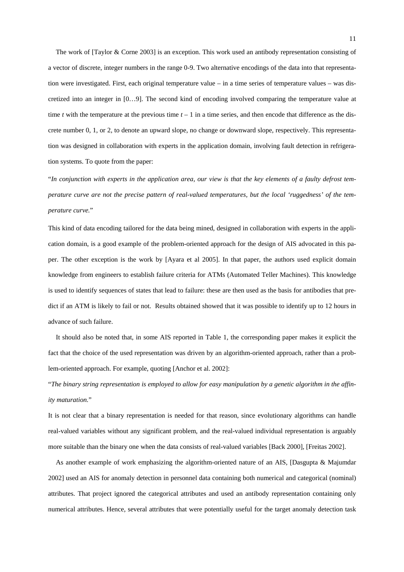The work of [Taylor & Corne 2003] is an exception. This work used an antibody representation consisting of a vector of discrete, integer numbers in the range 0-9. Two alternative encodings of the data into that representation were investigated. First, each original temperature value – in a time series of temperature values – was discretized into an integer in [0…9]. The second kind of encoding involved comparing the temperature value at time  $t$  with the temperature at the previous time  $t - 1$  in a time series, and then encode that difference as the discrete number 0, 1, or 2, to denote an upward slope, no change or downward slope, respectively. This representation was designed in collaboration with experts in the application domain, involving fault detection in refrigeration systems. To quote from the paper:

"*In conjunction with experts in the application area, our view is that the key elements of a faulty defrost temperature curve are not the precise pattern of real-valued temperatures, but the local 'ruggedness' of the temperature curve.*"

This kind of data encoding tailored for the data being mined, designed in collaboration with experts in the application domain, is a good example of the problem-oriented approach for the design of AIS advocated in this paper. The other exception is the work by [Ayara et al 2005]. In that paper, the authors used explicit domain knowledge from engineers to establish failure criteria for ATMs (Automated Teller Machines). This knowledge is used to identify sequences of states that lead to failure: these are then used as the basis for antibodies that predict if an ATM is likely to fail or not. Results obtained showed that it was possible to identify up to 12 hours in advance of such failure.

It should also be noted that, in some AIS reported in Table 1, the corresponding paper makes it explicit the fact that the choice of the used representation was driven by an algorithm-oriented approach, rather than a problem-oriented approach. For example, quoting [Anchor et al. 2002]:

"*The binary string representation is employed to allow for easy manipulation by a genetic algorithm in the affinity maturation.*"

It is not clear that a binary representation is needed for that reason, since evolutionary algorithms can handle real-valued variables without any significant problem, and the real-valued individual representation is arguably more suitable than the binary one when the data consists of real-valued variables [Back 2000], [Freitas 2002].

As another example of work emphasizing the algorithm-oriented nature of an AIS, [Dasgupta & Majumdar 2002] used an AIS for anomaly detection in personnel data containing both numerical and categorical (nominal) attributes. That project ignored the categorical attributes and used an antibody representation containing only numerical attributes. Hence, several attributes that were potentially useful for the target anomaly detection task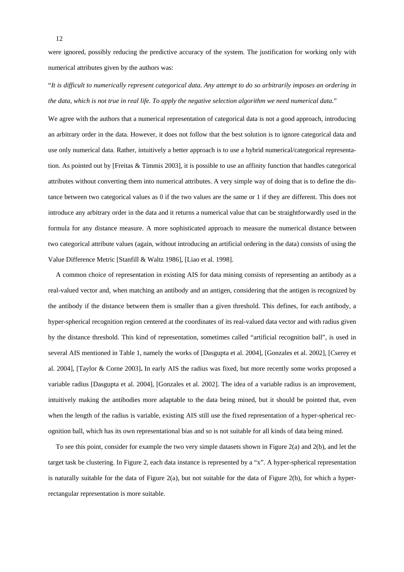were ignored, possibly reducing the predictive accuracy of the system. The justification for working only with numerical attributes given by the authors was:

"*It is difficult to numerically represent categorical data. Any attempt to do so arbitrarily imposes an ordering in the data, which is not true in real life. To apply the negative selection algorithm we need numerical data.*"

We agree with the authors that a numerical representation of categorical data is not a good approach, introducing an arbitrary order in the data. However, it does not follow that the best solution is to ignore categorical data and use only numerical data. Rather, intuitively a better approach is to use a hybrid numerical/categorical representation. As pointed out by [Freitas & Timmis 2003], it is possible to use an affinity function that handles categorical attributes without converting them into numerical attributes. A very simple way of doing that is to define the distance between two categorical values as 0 if the two values are the same or 1 if they are different. This does not introduce any arbitrary order in the data and it returns a numerical value that can be straightforwardly used in the formula for any distance measure. A more sophisticated approach to measure the numerical distance between two categorical attribute values (again, without introducing an artificial ordering in the data) consists of using the Value Difference Metric [Stanfill & Waltz 1986], [Liao et al. 1998].

A common choice of representation in existing AIS for data mining consists of representing an antibody as a real-valued vector and, when matching an antibody and an antigen, considering that the antigen is recognized by the antibody if the distance between them is smaller than a given threshold. This defines, for each antibody, a hyper-spherical recognition region centered at the coordinates of its real-valued data vector and with radius given by the distance threshold. This kind of representation, sometimes called "artificial recognition ball", is used in several AIS mentioned in Table 1, namely the works of [Dasgupta et al. 2004], [Gonzales et al. 2002], [Cserey et al. 2004], [Taylor & Corne 2003]**.** In early AIS the radius was fixed, but more recently some works proposed a variable radius [Dasgupta et al. 2004], [Gonzales et al. 2002]. The idea of a variable radius is an improvement, intuitively making the antibodies more adaptable to the data being mined, but it should be pointed that, even when the length of the radius is variable, existing AIS still use the fixed representation of a hyper-spherical recognition ball, which has its own representational bias and so is not suitable for all kinds of data being mined.

To see this point, consider for example the two very simple datasets shown in Figure 2(a) and 2(b), and let the target task be clustering. In Figure 2, each data instance is represented by a "x". A hyper-spherical representation is naturally suitable for the data of Figure 2(a), but not suitable for the data of Figure 2(b), for which a hyperrectangular representation is more suitable.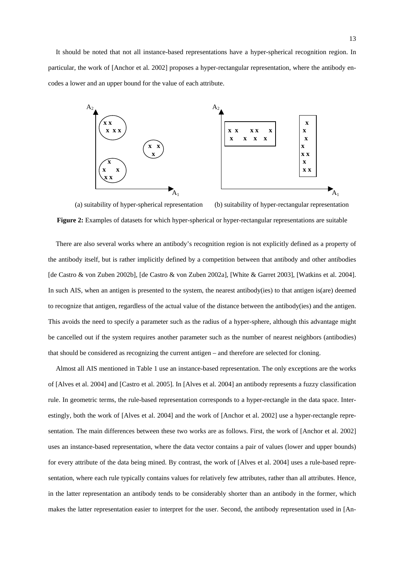It should be noted that not all instance-based representations have a hyper-spherical recognition region. In particular, the work of [Anchor et al. 2002] proposes a hyper-rectangular representation, where the antibody encodes a lower and an upper bound for the value of each attribute.





(a) suitability of hyper-spherical representation (b) suitability of hyper-rectangular representation

**Figure 2:** Examples of datasets for which hyper-spherical or hyper-rectangular representations are suitable

There are also several works where an antibody's recognition region is not explicitly defined as a property of the antibody itself, but is rather implicitly defined by a competition between that antibody and other antibodies [de Castro & von Zuben 2002b], [de Castro & von Zuben 2002a], [White & Garret 2003], [Watkins et al. 2004]. In such AIS, when an antigen is presented to the system, the nearest antibody(ies) to that antigen is(are) deemed to recognize that antigen, regardless of the actual value of the distance between the antibody(ies) and the antigen. This avoids the need to specify a parameter such as the radius of a hyper-sphere, although this advantage might be cancelled out if the system requires another parameter such as the number of nearest neighbors (antibodies) that should be considered as recognizing the current antigen – and therefore are selected for cloning.

Almost all AIS mentioned in Table 1 use an instance-based representation. The only exceptions are the works of [Alves et al. 2004] and [Castro et al. 2005]. In [Alves et al. 2004] an antibody represents a fuzzy classification rule. In geometric terms, the rule-based representation corresponds to a hyper-rectangle in the data space. Interestingly, both the work of [Alves et al. 2004] and the work of [Anchor et al. 2002] use a hyper-rectangle representation. The main differences between these two works are as follows. First, the work of [Anchor et al. 2002] uses an instance-based representation, where the data vector contains a pair of values (lower and upper bounds) for every attribute of the data being mined. By contrast, the work of [Alves et al. 2004] uses a rule-based representation, where each rule typically contains values for relatively few attributes, rather than all attributes. Hence, in the latter representation an antibody tends to be considerably shorter than an antibody in the former, which makes the latter representation easier to interpret for the user. Second, the antibody representation used in [An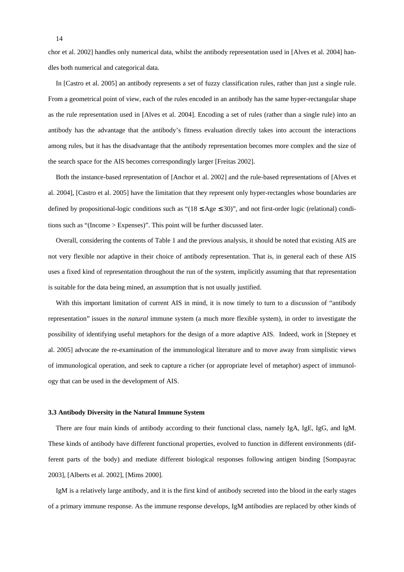chor et al. 2002] handles only numerical data, whilst the antibody representation used in [Alves et al. 2004] handles both numerical and categorical data.

In [Castro et al. 2005] an antibody represents a set of fuzzy classification rules, rather than just a single rule. From a geometrical point of view, each of the rules encoded in an antibody has the same hyper-rectangular shape as the rule representation used in [Alves et al. 2004]. Encoding a set of rules (rather than a single rule) into an antibody has the advantage that the antibody's fitness evaluation directly takes into account the interactions among rules, but it has the disadvantage that the antibody representation becomes more complex and the size of the search space for the AIS becomes correspondingly larger [Freitas 2002].

Both the instance-based representation of [Anchor et al. 2002] and the rule-based representations of [Alves et al. 2004], [Castro et al. 2005] have the limitation that they represent only hyper-rectangles whose boundaries are defined by propositional-logic conditions such as " $(18 \le \text{Age} \le 30)$ ", and not first-order logic (relational) conditions such as "(Income > Expenses)". This point will be further discussed later.

Overall, considering the contents of Table 1 and the previous analysis, it should be noted that existing AIS are not very flexible nor adaptive in their choice of antibody representation. That is, in general each of these AIS uses a fixed kind of representation throughout the run of the system, implicitly assuming that that representation is suitable for the data being mined, an assumption that is not usually justified.

With this important limitation of current AIS in mind, it is now timely to turn to a discussion of "antibody" representation" issues in the *natural* immune system (a much more flexible system), in order to investigate the possibility of identifying useful metaphors for the design of a more adaptive AIS. Indeed, work in [Stepney et al. 2005] advocate the re-examination of the immunological literature and to move away from simplistic views of immunological operation, and seek to capture a richer (or appropriate level of metaphor) aspect of immunology that can be used in the development of AIS.

### **3.3 Antibody Diversity in the Natural Immune System**

There are four main kinds of antibody according to their functional class, namely IgA, IgE, IgG, and IgM. These kinds of antibody have different functional properties, evolved to function in different environments (different parts of the body) and mediate different biological responses following antigen binding [Sompayrac 2003], [Alberts et al. 2002], [Mims 2000].

IgM is a relatively large antibody, and it is the first kind of antibody secreted into the blood in the early stages of a primary immune response. As the immune response develops, IgM antibodies are replaced by other kinds of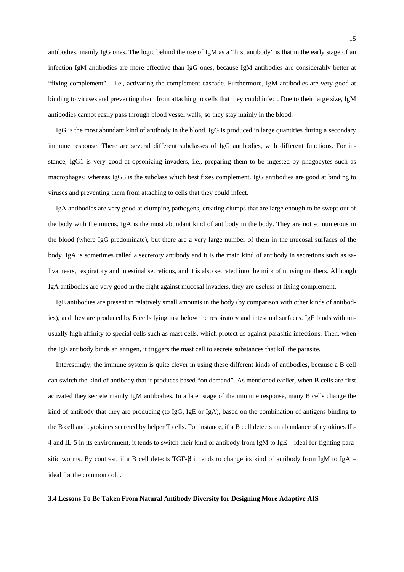antibodies, mainly IgG ones. The logic behind the use of IgM as a "first antibody" is that in the early stage of an infection IgM antibodies are more effective than IgG ones, because IgM antibodies are considerably better at "fixing complement" – i.e., activating the complement cascade. Furthermore, IgM antibodies are very good at binding to viruses and preventing them from attaching to cells that they could infect. Due to their large size, IgM antibodies cannot easily pass through blood vessel walls, so they stay mainly in the blood.

IgG is the most abundant kind of antibody in the blood. IgG is produced in large quantities during a secondary immune response. There are several different subclasses of IgG antibodies, with different functions. For instance, IgG1 is very good at opsonizing invaders, i.e., preparing them to be ingested by phagocytes such as macrophages; whereas IgG3 is the subclass which best fixes complement. IgG antibodies are good at binding to viruses and preventing them from attaching to cells that they could infect.

IgA antibodies are very good at clumping pathogens, creating clumps that are large enough to be swept out of the body with the mucus. IgA is the most abundant kind of antibody in the body. They are not so numerous in the blood (where IgG predominate), but there are a very large number of them in the mucosal surfaces of the body. IgA is sometimes called a secretory antibody and it is the main kind of antibody in secretions such as saliva, tears, respiratory and intestinal secretions, and it is also secreted into the milk of nursing mothers. Although IgA antibodies are very good in the fight against mucosal invaders, they are useless at fixing complement.

IgE antibodies are present in relatively small amounts in the body (by comparison with other kinds of antibodies), and they are produced by B cells lying just below the respiratory and intestinal surfaces. IgE binds with unusually high affinity to special cells such as mast cells, which protect us against parasitic infections. Then, when the IgE antibody binds an antigen, it triggers the mast cell to secrete substances that kill the parasite.

Interestingly, the immune system is quite clever in using these different kinds of antibodies, because a B cell can switch the kind of antibody that it produces based "on demand". As mentioned earlier, when B cells are first activated they secrete mainly IgM antibodies. In a later stage of the immune response, many B cells change the kind of antibody that they are producing (to IgG, IgE or IgA), based on the combination of antigens binding to the B cell and cytokines secreted by helper T cells. For instance, if a B cell detects an abundance of cytokines IL-4 and IL-5 in its environment, it tends to switch their kind of antibody from IgM to IgE – ideal for fighting parasitic worms. By contrast, if a B cell detects TGF- $\beta$  it tends to change its kind of antibody from IgM to IgA – ideal for the common cold.

## **3.4 Lessons To Be Taken From Natural Antibody Diversity for Designing More Adaptive AIS**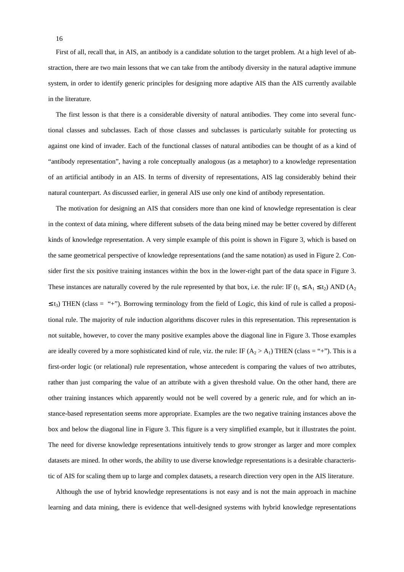First of all, recall that, in AIS, an antibody is a candidate solution to the target problem. At a high level of abstraction, there are two main lessons that we can take from the antibody diversity in the natural adaptive immune system, in order to identify generic principles for designing more adaptive AIS than the AIS currently available in the literature.

The first lesson is that there is a considerable diversity of natural antibodies. They come into several functional classes and subclasses. Each of those classes and subclasses is particularly suitable for protecting us against one kind of invader. Each of the functional classes of natural antibodies can be thought of as a kind of "antibody representation", having a role conceptually analogous (as a metaphor) to a knowledge representation of an artificial antibody in an AIS. In terms of diversity of representations, AIS lag considerably behind their natural counterpart. As discussed earlier, in general AIS use only one kind of antibody representation.

The motivation for designing an AIS that considers more than one kind of knowledge representation is clear in the context of data mining, where different subsets of the data being mined may be better covered by different kinds of knowledge representation. A very simple example of this point is shown in Figure 3, which is based on the same geometrical perspective of knowledge representations (and the same notation) as used in Figure 2. Consider first the six positive training instances within the box in the lower-right part of the data space in Figure 3. These instances are naturally covered by the rule represented by that box, i.e. the rule: IF ( $t_1 \le A_1 \le t_2$ ) AND ( $A_2$ )  $\leq$  t<sub>3</sub>) THEN (class = "+"). Borrowing terminology from the field of Logic, this kind of rule is called a propositional rule. The majority of rule induction algorithms discover rules in this representation. This representation is not suitable, however, to cover the many positive examples above the diagonal line in Figure 3. Those examples are ideally covered by a more sophisticated kind of rule, viz. the rule: IF  $(A_2 > A_1)$  THEN (class = "+"). This is a first-order logic (or relational) rule representation, whose antecedent is comparing the values of two attributes, rather than just comparing the value of an attribute with a given threshold value. On the other hand, there are other training instances which apparently would not be well covered by a generic rule, and for which an instance-based representation seems more appropriate. Examples are the two negative training instances above the box and below the diagonal line in Figure 3. This figure is a very simplified example, but it illustrates the point. The need for diverse knowledge representations intuitively tends to grow stronger as larger and more complex datasets are mined. In other words, the ability to use diverse knowledge representations is a desirable characteristic of AIS for scaling them up to large and complex datasets, a research direction very open in the AIS literature.

Although the use of hybrid knowledge representations is not easy and is not the main approach in machine learning and data mining, there is evidence that well-designed systems with hybrid knowledge representations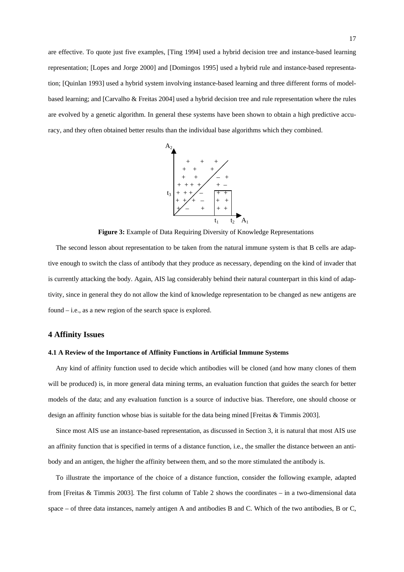are effective. To quote just five examples, [Ting 1994] used a hybrid decision tree and instance-based learning representation; [Lopes and Jorge 2000] and [Domingos 1995] used a hybrid rule and instance-based representation; [Quinlan 1993] used a hybrid system involving instance-based learning and three different forms of modelbased learning; and [Carvalho & Freitas 2004] used a hybrid decision tree and rule representation where the rules are evolved by a genetic algorithm. In general these systems have been shown to obtain a high predictive accuracy, and they often obtained better results than the individual base algorithms which they combined.



**Figure 3:** Example of Data Requiring Diversity of Knowledge Representations

The second lesson about representation to be taken from the natural immune system is that B cells are adaptive enough to switch the class of antibody that they produce as necessary, depending on the kind of invader that is currently attacking the body. Again, AIS lag considerably behind their natural counterpart in this kind of adaptivity, since in general they do not allow the kind of knowledge representation to be changed as new antigens are found – i.e., as a new region of the search space is explored.

# **4 Affinity Issues**

## **4.1 A Review of the Importance of Affinity Functions in Artificial Immune Systems**

Any kind of affinity function used to decide which antibodies will be cloned (and how many clones of them will be produced) is, in more general data mining terms, an evaluation function that guides the search for better models of the data; and any evaluation function is a source of inductive bias. Therefore, one should choose or design an affinity function whose bias is suitable for the data being mined [Freitas & Timmis 2003].

Since most AIS use an instance-based representation, as discussed in Section 3, it is natural that most AIS use an affinity function that is specified in terms of a distance function, i.e., the smaller the distance between an antibody and an antigen, the higher the affinity between them, and so the more stimulated the antibody is.

To illustrate the importance of the choice of a distance function, consider the following example, adapted from [Freitas & Timmis 2003]. The first column of Table 2 shows the coordinates – in a two-dimensional data space – of three data instances, namely antigen A and antibodies B and C. Which of the two antibodies, B or C,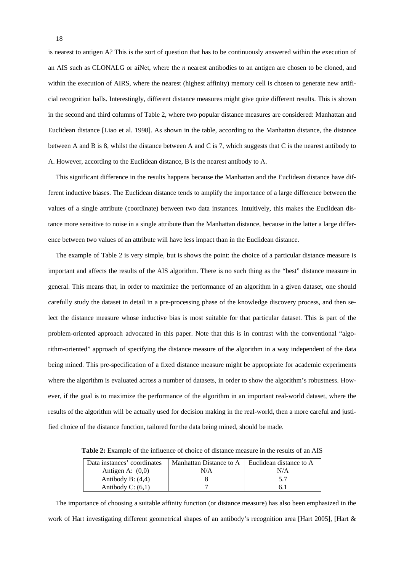is nearest to antigen A? This is the sort of question that has to be continuously answered within the execution of an AIS such as CLONALG or aiNet, where the *n* nearest antibodies to an antigen are chosen to be cloned, and within the execution of AIRS, where the nearest (highest affinity) memory cell is chosen to generate new artificial recognition balls. Interestingly, different distance measures might give quite different results. This is shown in the second and third columns of Table 2, where two popular distance measures are considered: Manhattan and Euclidean distance [Liao et al. 1998]. As shown in the table, according to the Manhattan distance, the distance between A and B is 8, whilst the distance between A and C is 7, which suggests that C is the nearest antibody to A. However, according to the Euclidean distance, B is the nearest antibody to A.

This significant difference in the results happens because the Manhattan and the Euclidean distance have different inductive biases. The Euclidean distance tends to amplify the importance of a large difference between the values of a single attribute (coordinate) between two data instances. Intuitively, this makes the Euclidean distance more sensitive to noise in a single attribute than the Manhattan distance, because in the latter a large difference between two values of an attribute will have less impact than in the Euclidean distance.

The example of Table 2 is very simple, but is shows the point: the choice of a particular distance measure is important and affects the results of the AIS algorithm. There is no such thing as the "best" distance measure in general. This means that, in order to maximize the performance of an algorithm in a given dataset, one should carefully study the dataset in detail in a pre-processing phase of the knowledge discovery process, and then select the distance measure whose inductive bias is most suitable for that particular dataset. This is part of the problem-oriented approach advocated in this paper. Note that this is in contrast with the conventional "algorithm-oriented" approach of specifying the distance measure of the algorithm in a way independent of the data being mined. This pre-specification of a fixed distance measure might be appropriate for academic experiments where the algorithm is evaluated across a number of datasets, in order to show the algorithm's robustness. However, if the goal is to maximize the performance of the algorithm in an important real-world dataset, where the results of the algorithm will be actually used for decision making in the real-world, then a more careful and justified choice of the distance function, tailored for the data being mined, should be made.

**Table 2:** Example of the influence of choice of distance measure in the results of an AIS

| Data instances' coordinates | Manhattan Distance to A | Euclidean distance to A |
|-----------------------------|-------------------------|-------------------------|
| Antigen A: $(0,0)$          | N/A                     | N/A                     |
| Antibody B: $(4,4)$         |                         |                         |
| Antibody C: $(6,1)$         |                         | h.                      |

The importance of choosing a suitable affinity function (or distance measure) has also been emphasized in the work of Hart investigating different geometrical shapes of an antibody's recognition area [Hart 2005], [Hart &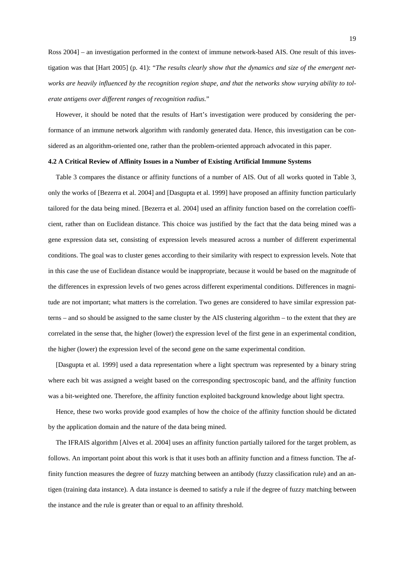Ross 2004] – an investigation performed in the context of immune network-based AIS. One result of this investigation was that [Hart 2005] (p. 41): "*The results clearly show that the dynamics and size of the emergent networks are heavily influenced by the recognition region shape, and that the networks show varying ability to tolerate antigens over different ranges of recognition radius.*"

However, it should be noted that the results of Hart's investigation were produced by considering the performance of an immune network algorithm with randomly generated data. Hence, this investigation can be considered as an algorithm-oriented one, rather than the problem-oriented approach advocated in this paper.

### **4.2 A Critical Review of Affinity Issues in a Number of Existing Artificial Immune Systems**

Table 3 compares the distance or affinity functions of a number of AIS. Out of all works quoted in Table 3, only the works of [Bezerra et al. 2004] and [Dasgupta et al. 1999] have proposed an affinity function particularly tailored for the data being mined. [Bezerra et al. 2004] used an affinity function based on the correlation coefficient, rather than on Euclidean distance. This choice was justified by the fact that the data being mined was a gene expression data set, consisting of expression levels measured across a number of different experimental conditions. The goal was to cluster genes according to their similarity with respect to expression levels. Note that in this case the use of Euclidean distance would be inappropriate, because it would be based on the magnitude of the differences in expression levels of two genes across different experimental conditions. Differences in magnitude are not important; what matters is the correlation. Two genes are considered to have similar expression patterns – and so should be assigned to the same cluster by the AIS clustering algorithm – to the extent that they are correlated in the sense that, the higher (lower) the expression level of the first gene in an experimental condition, the higher (lower) the expression level of the second gene on the same experimental condition.

[Dasgupta et al. 1999] used a data representation where a light spectrum was represented by a binary string where each bit was assigned a weight based on the corresponding spectroscopic band, and the affinity function was a bit-weighted one. Therefore, the affinity function exploited background knowledge about light spectra.

Hence, these two works provide good examples of how the choice of the affinity function should be dictated by the application domain and the nature of the data being mined.

The IFRAIS algorithm [Alves et al. 2004] uses an affinity function partially tailored for the target problem, as follows. An important point about this work is that it uses both an affinity function and a fitness function. The affinity function measures the degree of fuzzy matching between an antibody (fuzzy classification rule) and an antigen (training data instance). A data instance is deemed to satisfy a rule if the degree of fuzzy matching between the instance and the rule is greater than or equal to an affinity threshold.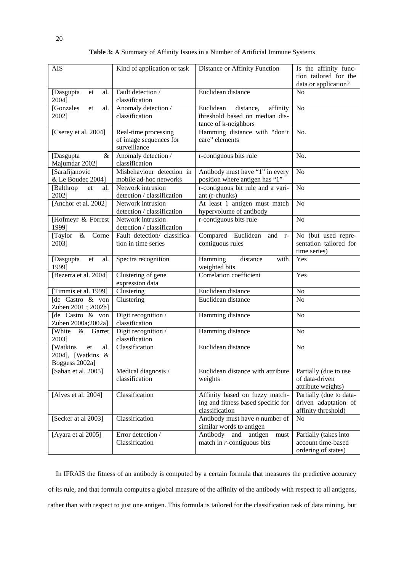| <b>AIS</b>                                                    | Kind of application or task                                    | Distance or Affinity Function                                                                | Is the affinity func-<br>tion tailored for the<br>data or application? |
|---------------------------------------------------------------|----------------------------------------------------------------|----------------------------------------------------------------------------------------------|------------------------------------------------------------------------|
| al.<br>[Dasgupta]<br>et<br>2004]                              | Fault detection /<br>classification                            | Euclidean distance                                                                           | No                                                                     |
| [Gonzales<br>al.<br>et<br>2002]                               | Anomaly detection /<br>classification                          | Euclidean<br>distance,<br>affinity<br>threshold based on median dis-<br>tance of k-neighbors | N <sub>o</sub>                                                         |
| [Cserey et al. 2004]                                          | Real-time processing<br>of image sequences for<br>surveillance | Hamming distance with "don't<br>care" elements                                               | No.                                                                    |
| [Dasgupta<br>&<br>Majumdar 2002]                              | Anomaly detection /<br>classification                          | r-contiguous bits rule                                                                       | No.                                                                    |
| [Sarafijanovic<br>& Le Boudec 2004]                           | Misbehaviour detection in<br>mobile ad-hoc networks            | Antibody must have "1" in every<br>position where antigen has "1"                            | N <sub>o</sub>                                                         |
| [Balthrop]<br>et<br>al.<br>2002]                              | Network intrusion<br>detection / classification                | r-contiguous bit rule and a vari-<br>ant (r-chunks)                                          | N <sub>o</sub>                                                         |
| [Anchor et al. 2002]                                          | Network intrusion<br>detection / classification                | At least 1 antigen must match<br>hypervolume of antibody                                     | N <sub>o</sub>                                                         |
| [Hofmeyr & Forrest]<br>1999]                                  | Network intrusion<br>detection / classification                | r-contiguous bits rule                                                                       | No                                                                     |
| [Taylor <sup>1</sup><br>& Corne<br>2003]                      | Fault detection/ classifica-<br>tion in time series            | Compared Euclidean<br>and r-<br>contiguous rules                                             | No (but used repre-<br>sentation tailored for<br>time series)          |
| al.<br>[Dasgupta<br>et<br>1999]                               | Spectra recognition                                            | distance<br>Hamming<br>with<br>weighted bits                                                 | Yes                                                                    |
| [Bezerra et al. 2004]                                         | Clustering of gene<br>expression data                          | Correlation coefficient                                                                      | Yes                                                                    |
| [Timmis et al. 1999]                                          | Clustering                                                     | Euclidean distance                                                                           | N <sub>0</sub>                                                         |
| [de Castro & von<br>Zuben 2001; 2002b]                        | Clustering                                                     | Euclidean distance                                                                           | N <sub>o</sub>                                                         |
| [de Castro & von<br>Zuben 2000a;2002a]                        | Digit recognition /<br>classification                          | Hamming distance                                                                             | No                                                                     |
| [White $\&$<br>Garret<br>2003]                                | Digit recognition /<br>classification                          | Hamming distance                                                                             | No                                                                     |
| [Watkins]<br>et<br>al.<br>2004], [Watkins &<br>Boggess 2002a] | Classification                                                 | Euclidean distance                                                                           | N <sub>o</sub>                                                         |
| [Sahan et al. 2005]                                           | Medical diagnosis /<br>classification                          | Euclidean distance with attribute<br>weights                                                 | Partially (due to use<br>of data-driven<br>attribute weights)          |
| [Alves et al. 2004]                                           | Classification                                                 | Affinity based on fuzzy match-<br>ing and fitness based specific for<br>classification       | Partially (due to data-<br>driven adaptation of<br>affinity threshold) |
| [Secker at al 2003]                                           | Classification                                                 | Antibody must have $n$ number of<br>similar words to antigen                                 | No                                                                     |
| [Ayara et al 2005]                                            | Error detection /<br>Classification                            | Antibody<br>and<br>antigen<br>must<br>match in r-contiguous bits                             | Partially (takes into<br>account time-based<br>ordering of states)     |

**Table 3:** A Summary of Affinity Issues in a Number of Artificial Immune Systems

In IFRAIS the fitness of an antibody is computed by a certain formula that measures the predictive accuracy of its rule, and that formula computes a global measure of the affinity of the antibody with respect to all antigens, rather than with respect to just one antigen. This formula is tailored for the classification task of data mining, but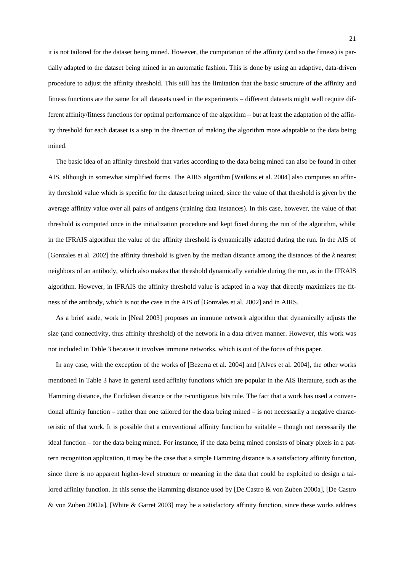it is not tailored for the dataset being mined. However, the computation of the affinity (and so the fitness) is partially adapted to the dataset being mined in an automatic fashion. This is done by using an adaptive, data-driven procedure to adjust the affinity threshold. This still has the limitation that the basic structure of the affinity and fitness functions are the same for all datasets used in the experiments – different datasets might well require different affinity/fitness functions for optimal performance of the algorithm – but at least the adaptation of the affinity threshold for each dataset is a step in the direction of making the algorithm more adaptable to the data being mined.

The basic idea of an affinity threshold that varies according to the data being mined can also be found in other AIS, although in somewhat simplified forms. The AIRS algorithm [Watkins et al. 2004] also computes an affinity threshold value which is specific for the dataset being mined, since the value of that threshold is given by the average affinity value over all pairs of antigens (training data instances). In this case, however, the value of that threshold is computed once in the initialization procedure and kept fixed during the run of the algorithm, whilst in the IFRAIS algorithm the value of the affinity threshold is dynamically adapted during the run. In the AIS of [Gonzales et al. 2002] the affinity threshold is given by the median distance among the distances of the *k* nearest neighbors of an antibody, which also makes that threshold dynamically variable during the run, as in the IFRAIS algorithm. However, in IFRAIS the affinity threshold value is adapted in a way that directly maximizes the fitness of the antibody, which is not the case in the AIS of [Gonzales et al. 2002] and in AIRS.

As a brief aside, work in [Neal 2003] proposes an immune network algorithm that dynamically adjusts the size (and connectivity, thus affinity threshold) of the network in a data driven manner. However, this work was not included in Table 3 because it involves immune networks, which is out of the focus of this paper.

In any case, with the exception of the works of [Bezerra et al. 2004] and [Alves et al. 2004], the other works mentioned in Table 3 have in general used affinity functions which are popular in the AIS literature, such as the Hamming distance, the Euclidean distance or the r-contiguous bits rule. The fact that a work has used a conventional affinity function – rather than one tailored for the data being mined – is not necessarily a negative characteristic of that work. It is possible that a conventional affinity function be suitable – though not necessarily the ideal function – for the data being mined. For instance, if the data being mined consists of binary pixels in a pattern recognition application, it may be the case that a simple Hamming distance is a satisfactory affinity function, since there is no apparent higher-level structure or meaning in the data that could be exploited to design a tailored affinity function. In this sense the Hamming distance used by [De Castro & von Zuben 2000a], [De Castro & von Zuben 2002a], [White & Garret 2003] may be a satisfactory affinity function, since these works address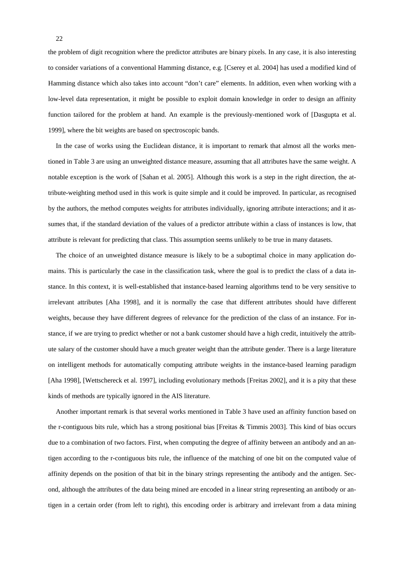the problem of digit recognition where the predictor attributes are binary pixels. In any case, it is also interesting to consider variations of a conventional Hamming distance, e.g. [Cserey et al. 2004] has used a modified kind of Hamming distance which also takes into account "don't care" elements. In addition, even when working with a low-level data representation, it might be possible to exploit domain knowledge in order to design an affinity function tailored for the problem at hand. An example is the previously-mentioned work of [Dasgupta et al. 1999], where the bit weights are based on spectroscopic bands.

In the case of works using the Euclidean distance, it is important to remark that almost all the works mentioned in Table 3 are using an unweighted distance measure, assuming that all attributes have the same weight. A notable exception is the work of [Sahan et al. 2005]. Although this work is a step in the right direction, the attribute-weighting method used in this work is quite simple and it could be improved. In particular, as recognised by the authors, the method computes weights for attributes individually, ignoring attribute interactions; and it assumes that, if the standard deviation of the values of a predictor attribute within a class of instances is low, that attribute is relevant for predicting that class. This assumption seems unlikely to be true in many datasets.

The choice of an unweighted distance measure is likely to be a suboptimal choice in many application domains. This is particularly the case in the classification task, where the goal is to predict the class of a data instance. In this context, it is well-established that instance-based learning algorithms tend to be very sensitive to irrelevant attributes [Aha 1998], and it is normally the case that different attributes should have different weights, because they have different degrees of relevance for the prediction of the class of an instance. For instance, if we are trying to predict whether or not a bank customer should have a high credit, intuitively the attribute salary of the customer should have a much greater weight than the attribute gender. There is a large literature on intelligent methods for automatically computing attribute weights in the instance-based learning paradigm [Aha 1998], [Wettschereck et al. 1997], including evolutionary methods [Freitas 2002], and it is a pity that these kinds of methods are typically ignored in the AIS literature.

Another important remark is that several works mentioned in Table 3 have used an affinity function based on the r-contiguous bits rule, which has a strong positional bias [Freitas & Timmis 2003]. This kind of bias occurs due to a combination of two factors. First, when computing the degree of affinity between an antibody and an antigen according to the r-contiguous bits rule, the influence of the matching of one bit on the computed value of affinity depends on the position of that bit in the binary strings representing the antibody and the antigen. Second, although the attributes of the data being mined are encoded in a linear string representing an antibody or antigen in a certain order (from left to right), this encoding order is arbitrary and irrelevant from a data mining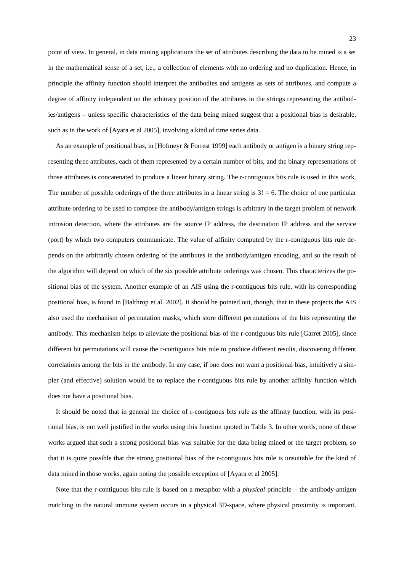point of view. In general, in data mining applications the set of attributes describing the data to be mined is a set in the mathematical sense of a set, i.e., a collection of elements with no ordering and no duplication. Hence, in principle the affinity function should interpret the antibodies and antigens as sets of attributes, and compute a degree of affinity independent on the arbitrary position of the attributes in the strings representing the antibodies/antigens – unless specific characteristics of the data being mined suggest that a positional bias is desirable, such as in the work of [Ayara et al 2005], involving a kind of time series data.

As an example of positional bias, in [Hofmeyr & Forrest 1999] each antibody or antigen is a binary string representing three attributes, each of them represented by a certain number of bits, and the binary representations of those attributes is concatenated to produce a linear binary string. The r-contiguous bits rule is used in this work. The number of possible orderings of the three attributes in a linear string is  $3! = 6$ . The choice of one particular attribute ordering to be used to compose the antibody/antigen strings is arbitrary in the target problem of network intrusion detection, where the attributes are the source IP address, the destination IP address and the service (port) by which two computers communicate. The value of affinity computed by the r-contiguous bits rule depends on the arbitrarily chosen ordering of the attributes in the antibody/antigen encoding, and so the result of the algorithm will depend on which of the six possible attribute orderings was chosen. This characterizes the positional bias of the system. Another example of an AIS using the r-contiguous bits rule, with its corresponding positional bias, is found in [Balthrop et al. 2002]. It should be pointed out, though, that in these projects the AIS also used the mechanism of permutation masks, which store different permutations of the bits representing the antibody. This mechanism helps to alleviate the positional bias of the r-contiguous bits rule [Garret 2005], since different bit permutations will cause the r-contiguous bits rule to produce different results, discovering different correlations among the bits in the antibody. In any case, if one does not want a positional bias, intuitively a simpler (and effective) solution would be to replace the r-contiguous bits rule by another affinity function which does not have a positional bias.

It should be noted that in general the choice of r-contiguous bits rule as the affinity function, with its positional bias, is not well justified in the works using this function quoted in Table 3. In other words, none of those works argued that such a strong positional bias was suitable for the data being mined or the target problem, so that it is quite possible that the strong positional bias of the r-contiguous bits rule is unsuitable for the kind of data mined in those works, again noting the possible exception of [Ayara et al 2005].

Note that the r-contiguous bits rule is based on a metaphor with a *physical* principle – the antibody-antigen matching in the natural immune system occurs in a physical 3D-space, where physical proximity is important.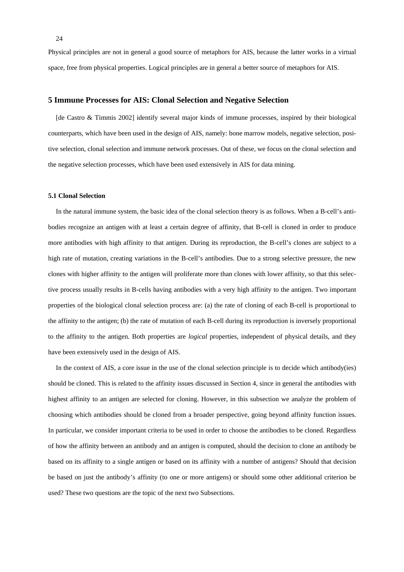Physical principles are not in general a good source of metaphors for AIS, because the latter works in a virtual space, free from physical properties. Logical principles are in general a better source of metaphors for AIS.

## **5 Immune Processes for AIS: Clonal Selection and Negative Selection**

[de Castro & Timmis 2002] identify several major kinds of immune processes, inspired by their biological counterparts, which have been used in the design of AIS, namely: bone marrow models, negative selection, positive selection, clonal selection and immune network processes. Out of these, we focus on the clonal selection and the negative selection processes, which have been used extensively in AIS for data mining.

### **5.1 Clonal Selection**

In the natural immune system, the basic idea of the clonal selection theory is as follows. When a B-cell's antibodies recognize an antigen with at least a certain degree of affinity, that B-cell is cloned in order to produce more antibodies with high affinity to that antigen. During its reproduction, the B-cell's clones are subject to a high rate of mutation, creating variations in the B-cell's antibodies. Due to a strong selective pressure, the new clones with higher affinity to the antigen will proliferate more than clones with lower affinity, so that this selective process usually results in B-cells having antibodies with a very high affinity to the antigen. Two important properties of the biological clonal selection process are: (a) the rate of cloning of each B-cell is proportional to the affinity to the antigen; (b) the rate of mutation of each B-cell during its reproduction is inversely proportional to the affinity to the antigen. Both properties are *logical* properties, independent of physical details, and they have been extensively used in the design of AIS.

In the context of AIS, a core issue in the use of the clonal selection principle is to decide which antibody(ies) should be cloned. This is related to the affinity issues discussed in Section 4, since in general the antibodies with highest affinity to an antigen are selected for cloning. However, in this subsection we analyze the problem of choosing which antibodies should be cloned from a broader perspective, going beyond affinity function issues. In particular, we consider important criteria to be used in order to choose the antibodies to be cloned. Regardless of how the affinity between an antibody and an antigen is computed, should the decision to clone an antibody be based on its affinity to a single antigen or based on its affinity with a number of antigens? Should that decision be based on just the antibody's affinity (to one or more antigens) or should some other additional criterion be used? These two questions are the topic of the next two Subsections.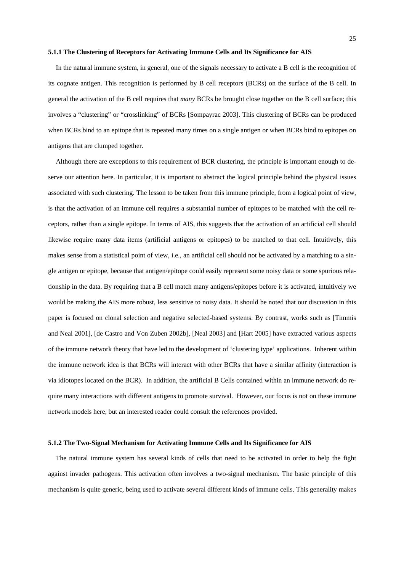#### **5.1.1 The Clustering of Receptors for Activating Immune Cells and Its Significance for AIS**

In the natural immune system, in general, one of the signals necessary to activate a B cell is the recognition of its cognate antigen. This recognition is performed by B cell receptors (BCRs) on the surface of the B cell. In general the activation of the B cell requires that *many* BCRs be brought close together on the B cell surface; this involves a "clustering" or "crosslinking" of BCRs [Sompayrac 2003]. This clustering of BCRs can be produced when BCRs bind to an epitope that is repeated many times on a single antigen or when BCRs bind to epitopes on antigens that are clumped together.

Although there are exceptions to this requirement of BCR clustering, the principle is important enough to deserve our attention here. In particular, it is important to abstract the logical principle behind the physical issues associated with such clustering. The lesson to be taken from this immune principle, from a logical point of view, is that the activation of an immune cell requires a substantial number of epitopes to be matched with the cell receptors, rather than a single epitope. In terms of AIS, this suggests that the activation of an artificial cell should likewise require many data items (artificial antigens or epitopes) to be matched to that cell. Intuitively, this makes sense from a statistical point of view, i.e., an artificial cell should not be activated by a matching to a single antigen or epitope, because that antigen/epitope could easily represent some noisy data or some spurious relationship in the data. By requiring that a B cell match many antigens/epitopes before it is activated, intuitively we would be making the AIS more robust, less sensitive to noisy data. It should be noted that our discussion in this paper is focused on clonal selection and negative selected-based systems. By contrast, works such as [Timmis and Neal 2001], [de Castro and Von Zuben 2002b], [Neal 2003] and [Hart 2005] have extracted various aspects of the immune network theory that have led to the development of 'clustering type' applications. Inherent within the immune network idea is that BCRs will interact with other BCRs that have a similar affinity (interaction is via idiotopes located on the BCR). In addition, the artificial B Cells contained within an immune network do require many interactions with different antigens to promote survival. However, our focus is not on these immune network models here, but an interested reader could consult the references provided.

## **5.1.2 The Two-Signal Mechanism for Activating Immune Cells and Its Significance for AIS**

The natural immune system has several kinds of cells that need to be activated in order to help the fight against invader pathogens. This activation often involves a two-signal mechanism. The basic principle of this mechanism is quite generic, being used to activate several different kinds of immune cells. This generality makes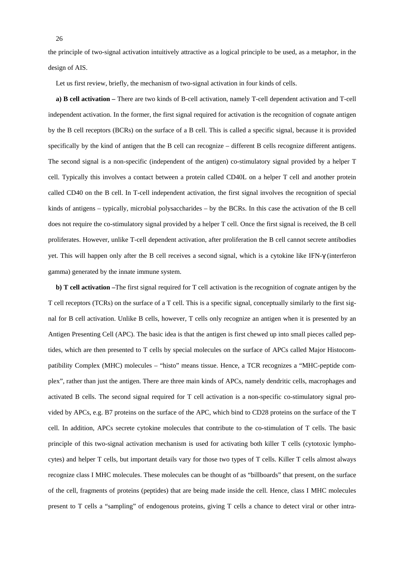the principle of two-signal activation intuitively attractive as a logical principle to be used, as a metaphor, in the design of AIS.

Let us first review, briefly, the mechanism of two-signal activation in four kinds of cells.

**a) B cell activation –** There are two kinds of B-cell activation, namely T-cell dependent activation and T-cell independent activation. In the former, the first signal required for activation is the recognition of cognate antigen by the B cell receptors (BCRs) on the surface of a B cell. This is called a specific signal, because it is provided specifically by the kind of antigen that the B cell can recognize – different B cells recognize different antigens. The second signal is a non-specific (independent of the antigen) co-stimulatory signal provided by a helper T cell. Typically this involves a contact between a protein called CD40L on a helper T cell and another protein called CD40 on the B cell. In T-cell independent activation, the first signal involves the recognition of special kinds of antigens – typically, microbial polysaccharides – by the BCRs. In this case the activation of the B cell does not require the co-stimulatory signal provided by a helper T cell. Once the first signal is received, the B cell proliferates. However, unlike T-cell dependent activation, after proliferation the B cell cannot secrete antibodies yet. This will happen only after the B cell receives a second signal, which is a cytokine like IFN-γ (interferon gamma) generated by the innate immune system.

**b) T cell activation –**The first signal required for T cell activation is the recognition of cognate antigen by the T cell receptors (TCRs) on the surface of a T cell. This is a specific signal, conceptually similarly to the first signal for B cell activation. Unlike B cells, however, T cells only recognize an antigen when it is presented by an Antigen Presenting Cell (APC). The basic idea is that the antigen is first chewed up into small pieces called peptides, which are then presented to T cells by special molecules on the surface of APCs called Major Histocompatibility Complex (MHC) molecules – "histo" means tissue. Hence, a TCR recognizes a "MHC-peptide complex", rather than just the antigen. There are three main kinds of APCs, namely dendritic cells, macrophages and activated B cells. The second signal required for T cell activation is a non-specific co-stimulatory signal provided by APCs, e.g. B7 proteins on the surface of the APC, which bind to CD28 proteins on the surface of the T cell. In addition, APCs secrete cytokine molecules that contribute to the co-stimulation of T cells. The basic principle of this two-signal activation mechanism is used for activating both killer T cells (cytotoxic lymphocytes) and helper T cells, but important details vary for those two types of T cells. Killer T cells almost always recognize class I MHC molecules. These molecules can be thought of as "billboards" that present, on the surface of the cell, fragments of proteins (peptides) that are being made inside the cell. Hence, class I MHC molecules present to T cells a "sampling" of endogenous proteins, giving T cells a chance to detect viral or other intra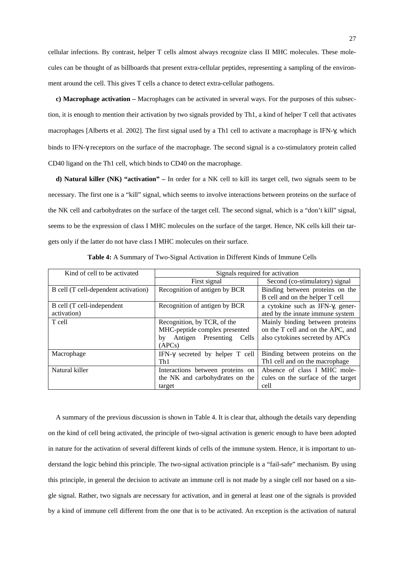cellular infections. By contrast, helper T cells almost always recognize class II MHC molecules. These molecules can be thought of as billboards that present extra-cellular peptides, representing a sampling of the environment around the cell. This gives T cells a chance to detect extra-cellular pathogens.

**c) Macrophage activation –** Macrophages can be activated in several ways. For the purposes of this subsection, it is enough to mention their activation by two signals provided by Th1, a kind of helper T cell that activates macrophages [Alberts et al. 2002]. The first signal used by a Th1 cell to activate a macrophage is IFN-γ, which binds to IFN-γ receptors on the surface of the macrophage. The second signal is a co-stimulatory protein called CD40 ligand on the Th1 cell, which binds to CD40 on the macrophage.

**d) Natural killer (NK) "activation" –** In order for a NK cell to kill its target cell, two signals seem to be necessary. The first one is a "kill" signal, which seems to involve interactions between proteins on the surface of the NK cell and carbohydrates on the surface of the target cell. The second signal, which is a "don't kill" signal, seems to be the expression of class I MHC molecules on the surface of the target. Hence, NK cells kill their targets only if the latter do not have class I MHC molecules on their surface.

| Kind of cell to be activated         |                                         | Signals required for activation           |  |
|--------------------------------------|-----------------------------------------|-------------------------------------------|--|
|                                      | First signal                            | Second (co-stimulatory) signal            |  |
| B cell (T cell-dependent activation) | Recognition of antigen by BCR           | Binding between proteins on the           |  |
|                                      |                                         | B cell and on the helper T cell           |  |
| B cell (T cell-independent           | Recognition of antigen by BCR           | a cytokine such as IFN- $\gamma$ , gener- |  |
| activation)                          |                                         | ated by the innate immune system          |  |
| T cell                               | Recognition, by TCR, of the             | Mainly binding between proteins           |  |
|                                      | MHC-peptide complex presented           | on the T cell and on the APC, and         |  |
|                                      | Antigen Presenting<br>Cells<br>by       | also cytokines secreted by APCs           |  |
|                                      | (APCs)                                  |                                           |  |
| Macrophage                           | IFN- $\gamma$ secreted by helper T cell | Binding between proteins on the           |  |
|                                      | Th1                                     | Th1 cell and on the macrophage            |  |
| Natural killer                       | Interactions between proteins on        | Absence of class I MHC mole-              |  |
|                                      | the NK and carbohydrates on the         | cules on the surface of the target        |  |
|                                      | target                                  | cell                                      |  |

**Table 4:** A Summary of Two-Signal Activation in Different Kinds of Immune Cells

A summary of the previous discussion is shown in Table 4. It is clear that, although the details vary depending on the kind of cell being activated, the principle of two-signal activation is generic enough to have been adopted in nature for the activation of several different kinds of cells of the immune system. Hence, it is important to understand the logic behind this principle. The two-signal activation principle is a "fail-safe" mechanism. By using this principle, in general the decision to activate an immune cell is not made by a single cell nor based on a single signal. Rather, two signals are necessary for activation, and in general at least one of the signals is provided by a kind of immune cell different from the one that is to be activated. An exception is the activation of natural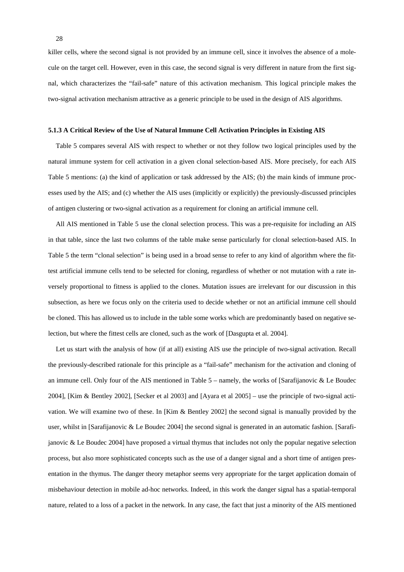killer cells, where the second signal is not provided by an immune cell, since it involves the absence of a molecule on the target cell. However, even in this case, the second signal is very different in nature from the first signal, which characterizes the "fail-safe" nature of this activation mechanism. This logical principle makes the two-signal activation mechanism attractive as a generic principle to be used in the design of AIS algorithms.

## **5.1.3 A Critical Review of the Use of Natural Immune Cell Activation Principles in Existing AIS**

Table 5 compares several AIS with respect to whether or not they follow two logical principles used by the natural immune system for cell activation in a given clonal selection-based AIS. More precisely, for each AIS Table 5 mentions: (a) the kind of application or task addressed by the AIS; (b) the main kinds of immune processes used by the AIS; and (c) whether the AIS uses (implicitly or explicitly) the previously-discussed principles of antigen clustering or two-signal activation as a requirement for cloning an artificial immune cell.

All AIS mentioned in Table 5 use the clonal selection process. This was a pre-requisite for including an AIS in that table, since the last two columns of the table make sense particularly for clonal selection-based AIS. In Table 5 the term "clonal selection" is being used in a broad sense to refer to any kind of algorithm where the fittest artificial immune cells tend to be selected for cloning, regardless of whether or not mutation with a rate inversely proportional to fitness is applied to the clones. Mutation issues are irrelevant for our discussion in this subsection, as here we focus only on the criteria used to decide whether or not an artificial immune cell should be cloned. This has allowed us to include in the table some works which are predominantly based on negative selection, but where the fittest cells are cloned, such as the work of [Dasgupta et al. 2004].

Let us start with the analysis of how (if at all) existing AIS use the principle of two-signal activation. Recall the previously-described rationale for this principle as a "fail-safe" mechanism for the activation and cloning of an immune cell. Only four of the AIS mentioned in Table 5 – namely, the works of [Sarafijanovic & Le Boudec 2004], [Kim & Bentley 2002], [Secker et al 2003] and [Ayara et al 2005] – use the principle of two-signal activation. We will examine two of these. In [Kim & Bentley 2002] the second signal is manually provided by the user, whilst in [Sarafijanovic & Le Boudec 2004] the second signal is generated in an automatic fashion. [Sarafijanovic & Le Boudec 2004] have proposed a virtual thymus that includes not only the popular negative selection process, but also more sophisticated concepts such as the use of a danger signal and a short time of antigen presentation in the thymus. The danger theory metaphor seems very appropriate for the target application domain of misbehaviour detection in mobile ad-hoc networks. Indeed, in this work the danger signal has a spatial-temporal nature, related to a loss of a packet in the network. In any case, the fact that just a minority of the AIS mentioned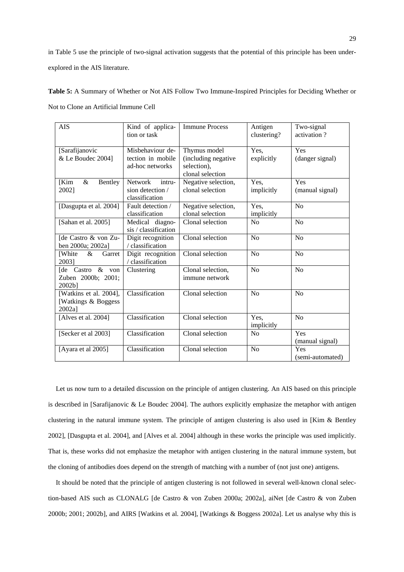in Table 5 use the principle of two-signal activation suggests that the potential of this principle has been underexplored in the AIS literature.

**Table 5:** A Summary of Whether or Not AIS Follow Two Immune-Inspired Principles for Deciding Whether or Not to Clone an Artificial Immune Cell

| <b>AIS</b>                                                  | Kind of applica-<br>tion or task                               | <b>Immune Process</b>                                                  | Antigen<br>clustering? | Two-signal<br>activation? |
|-------------------------------------------------------------|----------------------------------------------------------------|------------------------------------------------------------------------|------------------------|---------------------------|
| [Sarafijanovic<br>& Le Boudec 2004]                         | Misbehaviour de-<br>tection in mobile<br>ad-hoc networks       | Thymus model<br>(including negative<br>selection),<br>clonal selection | Yes,<br>explicitly     | Yes<br>(danger signal)    |
| &<br>[Kim]<br>Bentley<br>2002]                              | intru-<br><b>Network</b><br>sion detection /<br>classification | Negative selection,<br>clonal selection                                | Yes,<br>implicitly     | Yes<br>(manual signal)    |
| [Dasgupta et al. 2004]                                      | Fault detection /<br>classification                            | Negative selection,<br>clonal selection                                | Yes,<br>implicitly     | No                        |
| [Sahan et al. 2005]                                         | Medical diagno-<br>sis / classification                        | Clonal selection                                                       | N <sub>0</sub>         | No                        |
| [de Castro & von Zu-<br>ben 2000a; 2002a]                   | Digit recognition<br>/ classification                          | Clonal selection                                                       | No                     | No                        |
| <b>White</b><br>$\&$<br>Garret<br>20031                     | Digit recognition<br>/ classification                          | Clonal selection                                                       | N <sub>o</sub>         | N <sub>0</sub>            |
| [de Castro & von<br>Zuben 2000b; 2001;<br>2002 <sub>b</sub> | Clustering                                                     | Clonal selection,<br>immune network                                    | N <sub>o</sub>         | No                        |
| [Watkins et al. 2004],<br>[Watkings & Boggess]<br>$2002a$ ] | Classification                                                 | Clonal selection                                                       | N <sub>o</sub>         | N <sub>o</sub>            |
| [Alves et al. 2004]                                         | Classification                                                 | Clonal selection                                                       | Yes,<br>implicitly     | No                        |
| [Secker et al 2003]                                         | Classification                                                 | Clonal selection                                                       | No                     | Yes<br>(manual signal)    |
| [Ayara et al 2005]                                          | Classification                                                 | Clonal selection                                                       | No                     | Yes<br>(semi-automated)   |

Let us now turn to a detailed discussion on the principle of antigen clustering. An AIS based on this principle is described in [Sarafijanovic & Le Boudec 2004]. The authors explicitly emphasize the metaphor with antigen clustering in the natural immune system. The principle of antigen clustering is also used in [Kim & Bentley 2002], [Dasgupta et al. 2004], and [Alves et al. 2004] although in these works the principle was used implicitly. That is, these works did not emphasize the metaphor with antigen clustering in the natural immune system, but the cloning of antibodies does depend on the strength of matching with a number of (not just one) antigens.

It should be noted that the principle of antigen clustering is not followed in several well-known clonal selection-based AIS such as CLONALG [de Castro & von Zuben 2000a; 2002a], aiNet [de Castro & von Zuben 2000b; 2001; 2002b], and AIRS [Watkins et al. 2004], [Watkings & Boggess 2002a]. Let us analyse why this is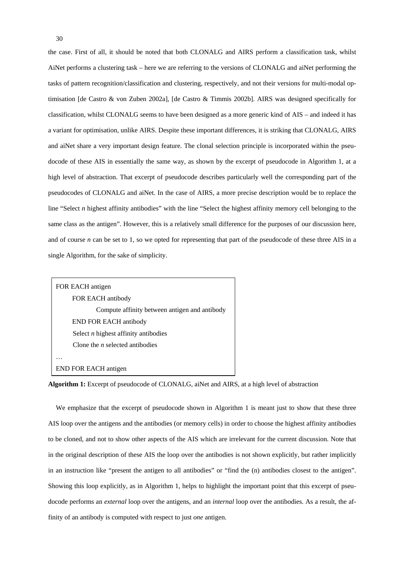the case. First of all, it should be noted that both CLONALG and AIRS perform a classification task, whilst AiNet performs a clustering task – here we are referring to the versions of CLONALG and aiNet performing the tasks of pattern recognition/classification and clustering, respectively, and not their versions for multi-modal optimisation [de Castro & von Zuben 2002a], [de Castro & Timmis 2002b]. AIRS was designed specifically for classification, whilst CLONALG seems to have been designed as a more generic kind of AIS – and indeed it has a variant for optimisation, unlike AIRS. Despite these important differences, it is striking that CLONALG, AIRS and aiNet share a very important design feature. The clonal selection principle is incorporated within the pseudocode of these AIS in essentially the same way, as shown by the excerpt of pseudocode in Algorithm 1, at a high level of abstraction. That excerpt of pseudocode describes particularly well the corresponding part of the pseudocodes of CLONALG and aiNet. In the case of AIRS, a more precise description would be to replace the line "Select *n* highest affinity antibodies" with the line "Select the highest affinity memory cell belonging to the same class as the antigen". However, this is a relatively small difference for the purposes of our discussion here, and of course *n* can be set to 1, so we opted for representing that part of the pseudocode of these three AIS in a single Algorithm, for the sake of simplicity.

| FOR EACH antigen                              |  |  |
|-----------------------------------------------|--|--|
| FOR EACH antibody                             |  |  |
| Compute affinity between antigen and antibody |  |  |
| <b>END FOR EACH antibody</b>                  |  |  |
| Select <i>n</i> highest affinity antibodies   |  |  |
| Clone the <i>n</i> selected antibodies        |  |  |
|                                               |  |  |
| END FOR EACH antigen                          |  |  |

**Algorithm 1:** Excerpt of pseudocode of CLONALG, aiNet and AIRS, at a high level of abstraction

We emphasize that the excerpt of pseudocode shown in Algorithm 1 is meant just to show that these three AIS loop over the antigens and the antibodies (or memory cells) in order to choose the highest affinity antibodies to be cloned, and not to show other aspects of the AIS which are irrelevant for the current discussion. Note that in the original description of these AIS the loop over the antibodies is not shown explicitly, but rather implicitly in an instruction like "present the antigen to all antibodies" or "find the (n) antibodies closest to the antigen". Showing this loop explicitly, as in Algorithm 1, helps to highlight the important point that this excerpt of pseudocode performs an *external* loop over the antigens, and an *internal* loop over the antibodies. As a result, the affinity of an antibody is computed with respect to just *one* antigen.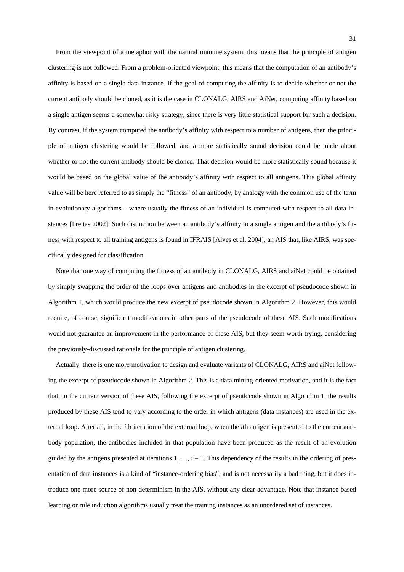From the viewpoint of a metaphor with the natural immune system, this means that the principle of antigen clustering is not followed. From a problem-oriented viewpoint, this means that the computation of an antibody's affinity is based on a single data instance. If the goal of computing the affinity is to decide whether or not the current antibody should be cloned, as it is the case in CLONALG, AIRS and AiNet, computing affinity based on a single antigen seems a somewhat risky strategy, since there is very little statistical support for such a decision. By contrast, if the system computed the antibody's affinity with respect to a number of antigens, then the principle of antigen clustering would be followed, and a more statistically sound decision could be made about whether or not the current antibody should be cloned. That decision would be more statistically sound because it would be based on the global value of the antibody's affinity with respect to all antigens. This global affinity value will be here referred to as simply the "fitness" of an antibody, by analogy with the common use of the term in evolutionary algorithms – where usually the fitness of an individual is computed with respect to all data instances [Freitas 2002]. Such distinction between an antibody's affinity to a single antigen and the antibody's fitness with respect to all training antigens is found in IFRAIS [Alves et al. 2004], an AIS that, like AIRS, was specifically designed for classification.

Note that one way of computing the fitness of an antibody in CLONALG, AIRS and aiNet could be obtained by simply swapping the order of the loops over antigens and antibodies in the excerpt of pseudocode shown in Algorithm 1, which would produce the new excerpt of pseudocode shown in Algorithm 2. However, this would require, of course, significant modifications in other parts of the pseudocode of these AIS. Such modifications would not guarantee an improvement in the performance of these AIS, but they seem worth trying, considering the previously-discussed rationale for the principle of antigen clustering.

Actually, there is one more motivation to design and evaluate variants of CLONALG, AIRS and aiNet following the excerpt of pseudocode shown in Algorithm 2. This is a data mining-oriented motivation, and it is the fact that, in the current version of these AIS, following the excerpt of pseudocode shown in Algorithm 1, the results produced by these AIS tend to vary according to the order in which antigens (data instances) are used in the external loop. After all, in the *i*th iteration of the external loop, when the *i*th antigen is presented to the current antibody population, the antibodies included in that population have been produced as the result of an evolution guided by the antigens presented at iterations  $1, \ldots, i-1$ . This dependency of the results in the ordering of presentation of data instances is a kind of "instance-ordering bias", and is not necessarily a bad thing, but it does introduce one more source of non-determinism in the AIS, without any clear advantage. Note that instance-based learning or rule induction algorithms usually treat the training instances as an unordered set of instances.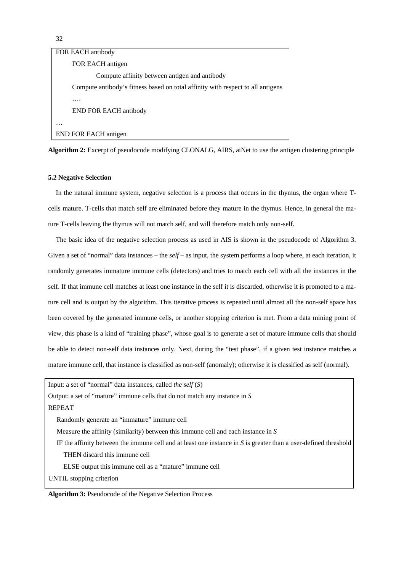| FOR EACH antibody                                                               |
|---------------------------------------------------------------------------------|
| FOR EACH antigen                                                                |
| Compute affinity between antigen and antibody                                   |
| Compute antibody's fitness based on total affinity with respect to all antigens |
| .                                                                               |
| <b>END FOR EACH antibody</b>                                                    |
| $\ddotsc$                                                                       |
| <b>END FOR EACH antigen</b>                                                     |

**Algorithm 2:** Excerpt of pseudocode modifying CLONALG, AIRS, aiNet to use the antigen clustering principle

# **5.2 Negative Selection**

In the natural immune system, negative selection is a process that occurs in the thymus, the organ where Tcells mature. T-cells that match self are eliminated before they mature in the thymus. Hence, in general the mature T-cells leaving the thymus will not match self, and will therefore match only non-self.

The basic idea of the negative selection process as used in AIS is shown in the pseudocode of Algorithm 3. Given a set of "normal" data instances – the *self* – as input, the system performs a loop where, at each iteration, it randomly generates immature immune cells (detectors) and tries to match each cell with all the instances in the self. If that immune cell matches at least one instance in the self it is discarded, otherwise it is promoted to a mature cell and is output by the algorithm. This iterative process is repeated until almost all the non-self space has been covered by the generated immune cells, or another stopping criterion is met. From a data mining point of view, this phase is a kind of "training phase", whose goal is to generate a set of mature immune cells that should be able to detect non-self data instances only. Next, during the "test phase", if a given test instance matches a mature immune cell, that instance is classified as non-self (anomaly); otherwise it is classified as self (normal).

Input: a set of "normal" data instances, called *the self* (*S*)

Output: a set of "mature" immune cells that do not match any instance in *S*

REPEAT

Randomly generate an "immature" immune cell

Measure the affinity (similarity) between this immune cell and each instance in *S*

 IF the affinity between the immune cell and at least one instance in *S* is greater than a user-defined threshold THEN discard this immune cell

ELSE output this immune cell as a "mature" immune cell

UNTIL stopping criterion

**Algorithm 3:** Pseudocode of the Negative Selection Process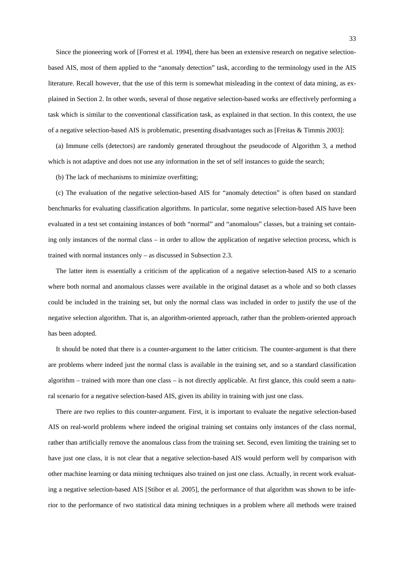Since the pioneering work of [Forrest et al. 1994], there has been an extensive research on negative selectionbased AIS, most of them applied to the "anomaly detection" task, according to the terminology used in the AIS literature. Recall however, that the use of this term is somewhat misleading in the context of data mining, as explained in Section 2. In other words, several of those negative selection-based works are effectively performing a task which is similar to the conventional classification task, as explained in that section. In this context, the use of a negative selection-based AIS is problematic, presenting disadvantages such as [Freitas & Timmis 2003]:

(a) Immune cells (detectors) are randomly generated throughout the pseudocode of Algorithm 3, a method which is not adaptive and does not use any information in the set of self instances to guide the search;

(b) The lack of mechanisms to minimize overfitting;

(c) The evaluation of the negative selection-based AIS for "anomaly detection" is often based on standard benchmarks for evaluating classification algorithms. In particular, some negative selection-based AIS have been evaluated in a test set containing instances of both "normal" and "anomalous" classes, but a training set containing only instances of the normal class – in order to allow the application of negative selection process, which is trained with normal instances only – as discussed in Subsection 2.3.

The latter item is essentially a criticism of the application of a negative selection-based AIS to a scenario where both normal and anomalous classes were available in the original dataset as a whole and so both classes could be included in the training set, but only the normal class was included in order to justify the use of the negative selection algorithm. That is, an algorithm-oriented approach, rather than the problem-oriented approach has been adopted.

It should be noted that there is a counter-argument to the latter criticism. The counter-argument is that there are problems where indeed just the normal class is available in the training set, and so a standard classification algorithm – trained with more than one class – is not directly applicable. At first glance, this could seem a natural scenario for a negative selection-based AIS, given its ability in training with just one class.

There are two replies to this counter-argument. First, it is important to evaluate the negative selection-based AIS on real-world problems where indeed the original training set contains only instances of the class normal, rather than artificially remove the anomalous class from the training set. Second, even limiting the training set to have just one class, it is not clear that a negative selection-based AIS would perform well by comparison with other machine learning or data mining techniques also trained on just one class. Actually, in recent work evaluating a negative selection-based AIS [Stibor et al. 2005], the performance of that algorithm was shown to be inferior to the performance of two statistical data mining techniques in a problem where all methods were trained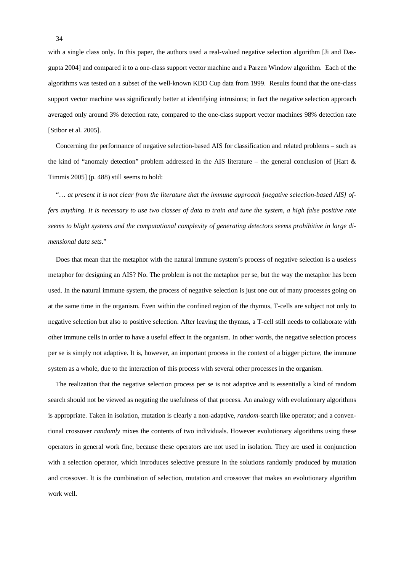with a single class only. In this paper, the authors used a real-valued negative selection algorithm [Ji and Dasgupta 2004] and compared it to a one-class support vector machine and a Parzen Window algorithm. Each of the algorithms was tested on a subset of the well-known KDD Cup data from 1999. Results found that the one-class support vector machine was significantly better at identifying intrusions; in fact the negative selection approach averaged only around 3% detection rate, compared to the one-class support vector machines 98% detection rate [Stibor et al. 2005].

Concerning the performance of negative selection-based AIS for classification and related problems – such as the kind of "anomaly detection" problem addressed in the AIS literature – the general conclusion of [Hart & Timmis 2005] (p. 488) still seems to hold:

"… *at present it is not clear from the literature that the immune approach [negative selection-based AIS] offers anything. It is necessary to use two classes of data to train and tune the system, a high false positive rate seems to blight systems and the computational complexity of generating detectors seems prohibitive in large dimensional data sets*."

Does that mean that the metaphor with the natural immune system's process of negative selection is a useless metaphor for designing an AIS? No. The problem is not the metaphor per se, but the way the metaphor has been used. In the natural immune system, the process of negative selection is just one out of many processes going on at the same time in the organism. Even within the confined region of the thymus, T-cells are subject not only to negative selection but also to positive selection. After leaving the thymus, a T-cell still needs to collaborate with other immune cells in order to have a useful effect in the organism. In other words, the negative selection process per se is simply not adaptive. It is, however, an important process in the context of a bigger picture, the immune system as a whole, due to the interaction of this process with several other processes in the organism.

The realization that the negative selection process per se is not adaptive and is essentially a kind of random search should not be viewed as negating the usefulness of that process. An analogy with evolutionary algorithms is appropriate. Taken in isolation, mutation is clearly a non-adaptive, *random*-search like operator; and a conventional crossover *randomly* mixes the contents of two individuals. However evolutionary algorithms using these operators in general work fine, because these operators are not used in isolation. They are used in conjunction with a selection operator, which introduces selective pressure in the solutions randomly produced by mutation and crossover. It is the combination of selection, mutation and crossover that makes an evolutionary algorithm work well.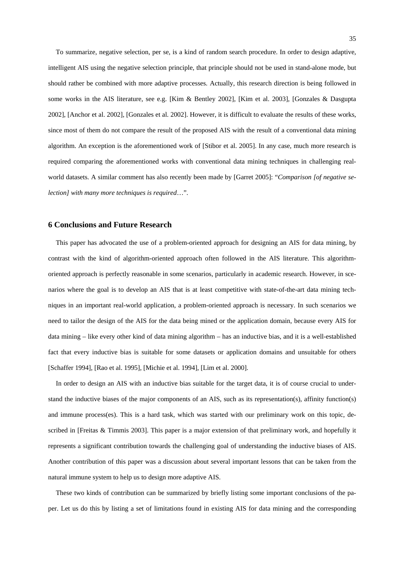To summarize, negative selection, per se, is a kind of random search procedure. In order to design adaptive, intelligent AIS using the negative selection principle, that principle should not be used in stand-alone mode, but should rather be combined with more adaptive processes. Actually, this research direction is being followed in some works in the AIS literature, see e.g. [Kim & Bentley 2002], [Kim et al. 2003], [Gonzales & Dasgupta 2002], [Anchor et al. 2002], [Gonzales et al. 2002]. However, it is difficult to evaluate the results of these works, since most of them do not compare the result of the proposed AIS with the result of a conventional data mining algorithm. An exception is the aforementioned work of [Stibor et al. 2005]. In any case, much more research is required comparing the aforementioned works with conventional data mining techniques in challenging realworld datasets. A similar comment has also recently been made by [Garret 2005]: "*Comparison [of negative selection] with many more techniques is required*…".

## **6 Conclusions and Future Research**

This paper has advocated the use of a problem-oriented approach for designing an AIS for data mining, by contrast with the kind of algorithm-oriented approach often followed in the AIS literature. This algorithmoriented approach is perfectly reasonable in some scenarios, particularly in academic research. However, in scenarios where the goal is to develop an AIS that is at least competitive with state-of-the-art data mining techniques in an important real-world application, a problem-oriented approach is necessary. In such scenarios we need to tailor the design of the AIS for the data being mined or the application domain, because every AIS for data mining – like every other kind of data mining algorithm – has an inductive bias, and it is a well-established fact that every inductive bias is suitable for some datasets or application domains and unsuitable for others [Schaffer 1994], [Rao et al. 1995], [Michie et al. 1994], [Lim et al. 2000].

In order to design an AIS with an inductive bias suitable for the target data, it is of course crucial to understand the inductive biases of the major components of an AIS, such as its representation(s), affinity function(s) and immune process(es). This is a hard task, which was started with our preliminary work on this topic, described in [Freitas & Timmis 2003]. This paper is a major extension of that preliminary work, and hopefully it represents a significant contribution towards the challenging goal of understanding the inductive biases of AIS. Another contribution of this paper was a discussion about several important lessons that can be taken from the natural immune system to help us to design more adaptive AIS.

These two kinds of contribution can be summarized by briefly listing some important conclusions of the paper. Let us do this by listing a set of limitations found in existing AIS for data mining and the corresponding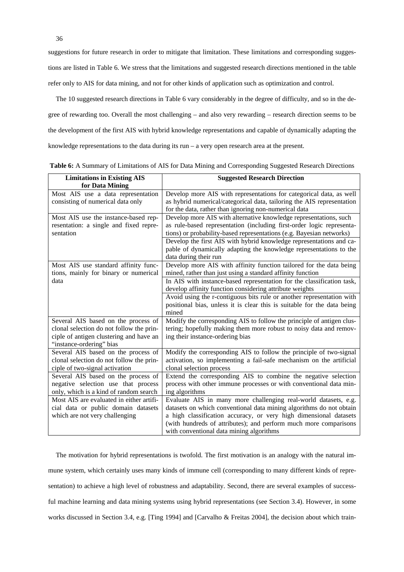suggestions for future research in order to mitigate that limitation. These limitations and corresponding suggestions are listed in Table 6. We stress that the limitations and suggested research directions mentioned in the table refer only to AIS for data mining, and not for other kinds of application such as optimization and control.

The 10 suggested research directions in Table 6 vary considerably in the degree of difficulty, and so in the degree of rewarding too. Overall the most challenging – and also very rewarding – research direction seems to be the development of the first AIS with hybrid knowledge representations and capable of dynamically adapting the knowledge representations to the data during its run – a very open research area at the present.

| <b>Limitations in Existing AIS</b>       | <b>Suggested Research Direction</b>                                     |
|------------------------------------------|-------------------------------------------------------------------------|
| for Data Mining                          |                                                                         |
| Most AIS use a data representation       | Develop more AIS with representations for categorical data, as well     |
| consisting of numerical data only        | as hybrid numerical/categorical data, tailoring the AIS representation  |
|                                          | for the data, rather than ignoring non-numerical data                   |
| Most AIS use the instance-based rep-     | Develop more AIS with alternative knowledge representations, such       |
| resentation: a single and fixed repre-   | as rule-based representation (including first-order logic representa-   |
| sentation                                | tions) or probability-based representations (e.g. Bayesian networks)    |
|                                          | Develop the first AIS with hybrid knowledge representations and ca-     |
|                                          | pable of dynamically adapting the knowledge representations to the      |
|                                          | data during their run                                                   |
| Most AIS use standard affinity func-     | Develop more AIS with affinity function tailored for the data being     |
| tions, mainly for binary or numerical    | mined, rather than just using a standard affinity function              |
| data                                     | In AIS with instance-based representation for the classification task,  |
|                                          | develop affinity function considering attribute weights                 |
|                                          | Avoid using the r-contiguous bits rule or another representation with   |
|                                          | positional bias, unless it is clear this is suitable for the data being |
|                                          | mined                                                                   |
| Several AIS based on the process of      | Modify the corresponding AIS to follow the principle of antigen clus-   |
| clonal selection do not follow the prin- | tering; hopefully making them more robust to noisy data and remov-      |
| ciple of antigen clustering and have an  | ing their instance-ordering bias                                        |
| "instance-ordering" bias                 |                                                                         |
| Several AIS based on the process of      | Modify the corresponding AIS to follow the principle of two-signal      |
| clonal selection do not follow the prin- | activation, so implementing a fail-safe mechanism on the artificial     |
| ciple of two-signal activation           | clonal selection process                                                |
| Several AIS based on the process of      | Extend the corresponding AIS to combine the negative selection          |
| negative selection use that process      | process with other immune processes or with conventional data min-      |
| only, which is a kind of random search   | ing algorithms                                                          |
| Most AIS are evaluated in either artifi- | Evaluate AIS in many more challenging real-world datasets, e.g.         |
| cial data or public domain datasets      | datasets on which conventional data mining algorithms do not obtain     |
| which are not very challenging           | a high classification accuracy, or very high dimensional datasets       |
|                                          | (with hundreds of attributes); and perform much more comparisons        |
|                                          | with conventional data mining algorithms                                |

**Table 6:** A Summary of Limitations of AIS for Data Mining and Corresponding Suggested Research Directions

The motivation for hybrid representations is twofold. The first motivation is an analogy with the natural immune system, which certainly uses many kinds of immune cell (corresponding to many different kinds of representation) to achieve a high level of robustness and adaptability. Second, there are several examples of successful machine learning and data mining systems using hybrid representations (see Section 3.4). However, in some works discussed in Section 3.4, e.g. [Ting 1994] and [Carvalho & Freitas 2004], the decision about which train-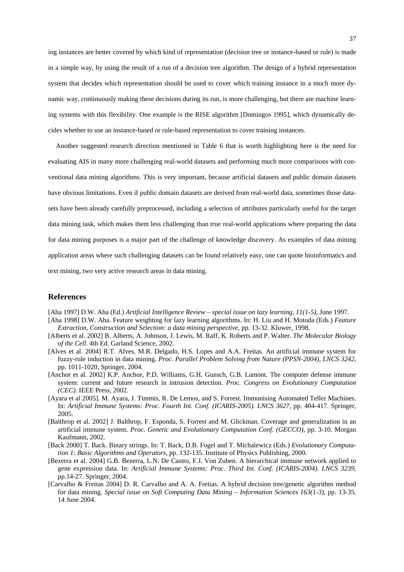ing instances are better covered by which kind of representation (decision tree or instance-based or rule) is made in a simple way, by using the result of a run of a decision tree algorithm. The design of a hybrid representation system that decides which representation should be used to cover which training instance in a much more dynamic way, continuously making these decisions during its run, is more challenging, but there are machine learning systems with this flexibility. One example is the RISE algorithm [Domingos 1995], which dynamically decides whether to use an instance-based or rule-based representation to cover training instances.

Another suggested research direction mentioned in Table 6 that is worth highlighting here is the need for evaluating AIS in many more challenging real-world datasets and performing much more comparisons with conventional data mining algorithms. This is very important, because artificial datasets and public domain datasets have obvious limitations. Even if public domain datasets are derived from real-world data, sometimes those datasets have been already carefully preprocessed, including a selection of attributes particularly useful for the target data mining task, which makes them less challenging than true real-world applications where preparing the data for data mining purposes is a major part of the challenge of knowledge discovery. As examples of data mining application areas where such challenging datasets can be found relatively easy, one can quote bioinformatics and text mining, two very active research areas in data mining.

## **References**

[Aha 1997] D.W. Aha (Ed.) *Artificial Intelligence Review – special issue on lazy learning*, *11(1-5)*, June 1997.

- [Aha 1998] D.W. Aha. Feature weighting for lazy learning algorithms. In: H. Liu and H. Motoda (Eds.) *Feature Extraction, Construction and Selection: a data mining perspective*, pp. 13-32. Kluwer, 1998.
- [Alberts et al. 2002] B. Alberts, A. Johnson, J. Lewis, M. Raff, K. Roberts and P. Walter. *The Molecular Biology of the Cell*. 4th Ed. Garland Science, 2002.
- [Alves et al. 2004] R.T. Alves, M.R. Delgado, H.S. Lopes and A.A. Freitas. An artificial immune system for fuzzy-rule induction in data mining. *Proc. Parallel Problem Solving from Nature (PPSN-2004), LNCS 3242*, pp. 1011-1020, Springer, 2004.
- [Anchor et al. 2002] K.P. Anchor, P.D. Williams, G.H. Gunsch, G.B. Lamont. The computer defense immune system: current and future research in intrusion detection. *Proc. Congress on Evolutionary Computation (CEC)*. IEEE Press, 2002.
- [Ayara et al 2005]. M. Ayara, J. Timmis, R. De Lemos, and S. Forrest. Immunising Automated Teller Machines. In: *Artificial Immune Systems: Proc. Fourth Int. Conf. (ICARIS-2005). LNCS 3627*, pp. 404-417. Springer, 2005.
- [Balthrop et al. 2002] J. Balthrop, F. Esponda, S. Forrest and M. Glickman. Coverage and generalization in an artificial immune system. *Proc. Genetic and Evolutionary Computation Conf. (GECCO)*, pp. 3-10. Morgan Kaufmann, 2002.
- [Back 2000] T. Back. Binary strings. In: T. Back, D.B. Fogel and T. Michalewicz (Eds.) *Evolutionary Computation 1: Basic Algorithms and Operators*, pp. 132-135. Institute of Physics Publishing, 2000.
- [Bezerra et al. 2004] G.B. Bezerra, L.N. De Castro, F.J. Von Zuben. A hierarchical immune network applied to gene expression data. In: *Artificial Immune Systems: Proc. Third Int. Conf. (ICARIS-2004). LNCS 3239,*  pp.14-27. Springer, 2004.
- [Carvalho & Freitas 2004] D. R. Carvalho and A. A. Freitas. A hybrid decision tree/genetic algorithm method for data mining. *Special issue on Soft Computing Data Mining – Information Sciences 163(1-3)*, pp. 13-35. 14 June 2004.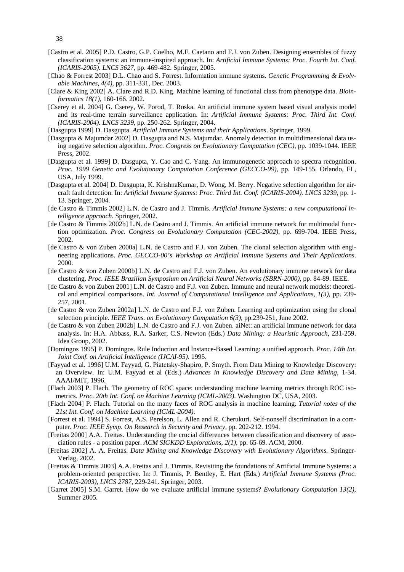- [Castro et al. 2005] P.D. Castro, G.P. Coelho, M.F. Caetano and F.J. von Zuben. Designing ensembles of fuzzy classification systems: an immune-inspired approach. In: *Artificial Immune Systems: Proc. Fourth Int. Conf. (ICARIS-2005). LNCS 3627,* pp. 469-482. Springer, 2005.
- [Chao & Forrest 2003] D.L. Chao and S. Forrest. Information immune systems. *Genetic Programming & Evolvable Machines, 4(4),* pp. 311-331, Dec. 2003.
- [Clare & King 2002] A. Clare and R.D. King. Machine learning of functional class from phenotype data. *Bioinformatics 18(1)*, 160-166. 2002.
- [Cserey et al. 2004] G. Cserey, W. Porod, T. Roska. An artificial immune system based visual analysis model and its real-time terrain surveillance application. In: *Artificial Immune Systems: Proc. Third Int. Conf. (ICARIS-2004). LNCS 3239,* pp. 250-262. Springer, 2004.
- [Dasgupta 1999] D. Dasgupta. *Artificial Immune Systems and their Applications*. Springer, 1999.
- [Dasgupta & Majumdar 2002] D. Dasgupta and N.S. Majumdar. Anomaly detection in multidimensional data using negative selection algorithm. *Proc. Congress on Evolutionary Computation (CEC)*, pp. 1039-1044. IEEE Press, 2002.
- [Dasgupta et al. 1999] D. Dasgupta, Y. Cao and C. Yang. An immunogenetic approach to spectra recognition. *Proc. 1999 Genetic and Evolutionary Computation Conference (GECCO-99)*, pp. 149-155. Orlando, FL, USA, July 1999.
- [Dasgupta et al. 2004] D. Dasgupta, K. KrishnaKumar, D. Wong, M. Berry. Negative selection algorithm for aircraft fault detection. In: *Artificial Immune Systems: Proc. Third Int. Conf. (ICARIS-2004). LNCS 3239*, pp. 1-13. Springer, 2004.
- [de Castro & Timmis 2002] L.N. de Castro and J. Timmis. *Artificial Immune Systems: a new computational intelligence approach*. Springer, 2002.
- [de Castro & Timmis 2002b] L.N. de Castro and J. Timmis. An artificial immune network for multimodal function optimization. *Proc. Congress on Evolutionary Computation (CEC-2002)*, pp. 699-704. IEEE Press, 2002.
- [de Castro & von Zuben 2000a] L.N. de Castro and F.J. von Zuben. The clonal selection algorithm with engineering applications. *Proc. GECCO-00's Workshop on Artificial Immune Systems and Their Applications*. 2000.
- [de Castro & von Zuben 2000b] L.N. de Castro and F.J. von Zuben. An evolutionary immune network for data clustering. *Proc. IEEE Brazilian Symposium on Artificial Neural Networks (SBRN-2000)*, pp. 84-89. IEEE.
- [de Castro & von Zuben 2001] L.N. de Castro and F.J. von Zuben. Immune and neural network models: theoretical and empirical comparisons. *Int. Journal of Computational Intelligence and Applications, 1(3),* pp. 239- 257, 2001.
- [de Castro & von Zuben 2002a] L.N. de Castro and F.J. von Zuben. Learning and optimization using the clonal selection principle. *IEEE Trans. on Evolutionary Computation 6(3)*, pp.239-251, June 2002.
- [de Castro & von Zuben 2002b] L.N. de Castro and F.J. von Zuben. aiNet: an artificial immune network for data analysis. In: H.A. Abbass, R.A. Sarker, C.S. Newton (Eds.) *Data Mining: a Heuristic Approach*, 231-259. Idea Group, 2002.
- [Domingos 1995] P. Domingos. Rule Induction and Instance-Based Learning: a unified approach. *Proc. 14th Int. Joint Conf. on Artificial Intelligence (IJCAI-95)*. 1995.
- [Fayyad et al. 1996] U.M. Fayyad, G. Piatetsky-Shapiro, P. Smyth. From Data Mining to Knowledge Discovery: an Overview. In: U.M. Fayyad et al (Eds.) *Advances in Knowledge Discovery and Data Mining*, 1-34. AAAI/MIT, 1996.
- [Flach 2003] P. Flach. The geometry of ROC space: understanding machine learning metrics through ROC isometrics. *Proc. 20th Int. Conf. on Machine Learning (ICML-2003)*. Washington DC, USA, 2003.
- [Flach 2004] P. Flach. Tutorial on the many faces of ROC analysis in machine learning. *Tutorial notes of the 21st Int. Conf. on Machine Learning (ICML-2004)*.
- [Forrest et al. 1994] S. Forrest, A.S. Perelson, L. Allen and R. Cherukuri. Self-nonself discrimination in a computer. *Proc. IEEE Symp. On Research in Security and Privacy,* pp. 202-212. 1994.
- [Freitas 2000] A.A. Freitas. Understanding the crucial differences between classification and discovery of association rules - a position paper. *ACM SIGKDD Explorations, 2(1)*, pp. 65-69. ACM, 2000.
- [Freitas 2002] A. A. Freitas. *Data Mining and Knowledge Discovery with Evolutionary Algorithms.* Springer-Verlag, 2002.
- [Freitas & Timmis 2003] A.A. Freitas and J. Timmis. Revisiting the foundations of Artificial Immune Systems: a problem-oriented perspective. In: J. Timmis, P. Bentley, E. Hart (Eds.) *Artificial Immune Systems (Proc. ICARIS-2003), LNCS 2787*, 229-241. Springer, 2003.
- [Garret 2005] S.M. Garret. How do we evaluate artificial immune systems? *Evolutionary Computation 13(2)*, Summer 2005.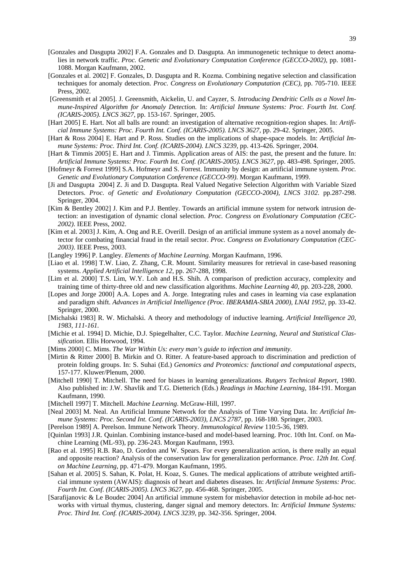- [Gonzales and Dasgupta 2002] F.A. Gonzales and D. Dasgupta. An immunogenetic technique to detect anomalies in network traffic. *Proc. Genetic and Evolutionary Computation Conference (GECCO-2002)*, pp. 1081- 1088. Morgan Kaufmann, 2002.
- [Gonzales et al. 2002] F. Gonzales, D. Dasgupta and R. Kozma. Combining negative selection and classification techniques for anomaly detection. *Proc. Congress on Evolutionary Computation (CEC)*, pp. 705-710. IEEE Press, 2002.
- [Greensmith et al 2005]. J. Greensmith, Aickelin, U. and Cayzer, S. *Introducing Dendritic Cells as a Novel Immune-Inspired Algorithm for Anomaly Detection.* In: *Artificial Immune Systems: Proc. Fourth Int. Conf. (ICARIS-2005). LNCS 3627,* pp. 153-167. Springer, 2005.
- [Hart 2005] E. Hart. Not all balls are round: an investigation of alternative recognition-region shapes. In: *Artificial Immune Systems: Proc. Fourth Int. Conf. (ICARIS-2005). LNCS 3627,* pp. 29-42. Springer, 2005.
- [Hart & Ross 2004] E. Hart and P. Ross. Studies on the implications of shape-space models. In: *Artificial Immune Systems: Proc. Third Int. Conf. (ICARIS-2004). LNCS 3239,* pp. 413-426. Springer, 2004.
- [Hart & Timmis 2005] E. Hart and J. Timmis. Application areas of AIS: the past, the present and the future. In: *Artificial Immune Systems: Proc. Fourth Int. Conf. (ICARIS-2005). LNCS 3627,* pp. 483-498. Springer, 2005.
- [Hofmeyr & Forrest 1999] S.A. Hofmeyr and S. Forrest. Immunity by design: an artificial immune system. *Proc. Genetic and Evolutionary Computation Conference (GECCO-99)*. Morgan Kaufmann, 1999.
- [Ji and Dasgupta 2004] Z. Ji and D. Dasgupta. Real Valued Negative Selection Algorithm with Variable Sized Detectors. *Proc. of Genetic and Evolutionary Computation (GECCO-2004), LNCS 3102*. pp.287-298. Springer, 2004.
- [Kim & Bentley 2002] J. Kim and P.J. Bentley. Towards an artificial immune system for network intrusion detection: an investigation of dynamic clonal selection. *Proc. Congress on Evolutionary Computation (CEC-2002)*. IEEE Press, 2002.
- [Kim et al. 2003] J. Kim, A. Ong and R.E. Overill. Design of an artificial immune system as a novel anomaly detector for combating financial fraud in the retail sector. *Proc. Congress on Evolutionary Computation (CEC-2003)*. IEEE Press, 2003.
- [Langley 1996] P. Langley. *Elements of Machine Learning*. Morgan Kaufmann, 1996.
- [Liao et al. 1998] T.W. Liao, Z. Zhang, C.R. Mount. Similarity measures for retrieval in case-based reasoning systems. *Applied Artificial Intelligence 12,* pp. 267-288, 1998.
- [Lim et al. 2000] T.S. Lim, W.Y. Loh and H.S. Shih. A comparison of prediction accuracy, complexity and training time of thirty-three old and new classification algorithms. *Machine Learning 40*, pp. 203-228, 2000.
- [Lopes and Jorge 2000] A.A. Lopes and A. Jorge. Integrating rules and cases in learning via case explanation and paradigm shift. *Advances in Artificial Intelligence (Proc. IBERAMIA-SBIA 2000), LNAI 1952*, pp. 33-42. Springer, 2000.
- [Michalski 1983] R. W. Michalski. A theory and methodology of inductive learning. *Artificial Intelligence 20, 1983, 111-161.*
- [Michie et al. 1994] D. Michie, D.J. Spiegelhalter, C.C. Taylor. *Machine Learning, Neural and Statistical Classification*. Ellis Horwood, 1994.
- [Mims 2000] C. Mims. *The War Within Us: every man's guide to infection and immunity*.
- [Mirtin & Ritter 2000] B. Mirkin and O. Ritter. A feature-based approach to discrimination and prediction of protein folding groups. In: S. Suhai (Ed.) *Genomics and Proteomics: functional and computational aspects*, 157-177. Kluwer/Plenum, 2000.
- [Mitchell 1990] T. Mitchell. The need for biases in learning generalizations. *Rutgers Technical Report,* 1980. Also published in: J.W. Shavlik and T.G. Dietterich (Eds.) *Readings in Machine Learning*, 184-191. Morgan Kaufmann, 1990.
- [Mitchell 1997] T. Mitchell. *Machine Learning*. McGraw-Hill, 1997.
- [Neal 2003] M. Neal. An Artificial Immune Network for the Analysis of Time Varying Data. In: *Artificial Immune Systems: Proc. Second Int. Conf. (ICARIS-2003), LNCS 2787,* pp. 168-180. Springer, 2003.
- [Perelson 1989] A. Perelson. Immune Network Theory. *Immunological Review* 110:5-36, 1989.
- [Quinlan 1993] J.R. Quinlan. Combining instance-based and model-based learning. Proc. 10th Int. Conf. on Machine Learning (ML-93), pp. 236-243. Morgan Kaufmann, 1993.
- [Rao et al. 1995] R.B. Rao, D. Gordon and W. Spears. For every generalization action, is there really an equal and opposite reaction? Analysis of the conservation law for generalization performance. *Proc. 12th Int. Conf. on Machine Learning*, pp. 471-479. Morgan Kaufmann, 1995.
- [Sahan et al. 2005] S. Sahan, K. Polat, H. Koaz, S. Gunes. The medical applications of attribute weighted artificial immune system (AWAIS): diagnosis of heart and diabetes diseases. In: *Artificial Immune Systems: Proc. Fourth Int. Conf. (ICARIS-2005). LNCS 3627,* pp. 456-468. Springer, 2005.
- [Sarafijanovic & Le Boudec 2004] An artificial immune system for misbehavior detection in mobile ad-hoc networks with virtual thymus, clustering, danger signal and memory detectors. In: *Artificial Immune Systems: Proc. Third Int. Conf. (ICARIS-2004). LNCS 3239,* pp. 342-356. Springer, 2004.